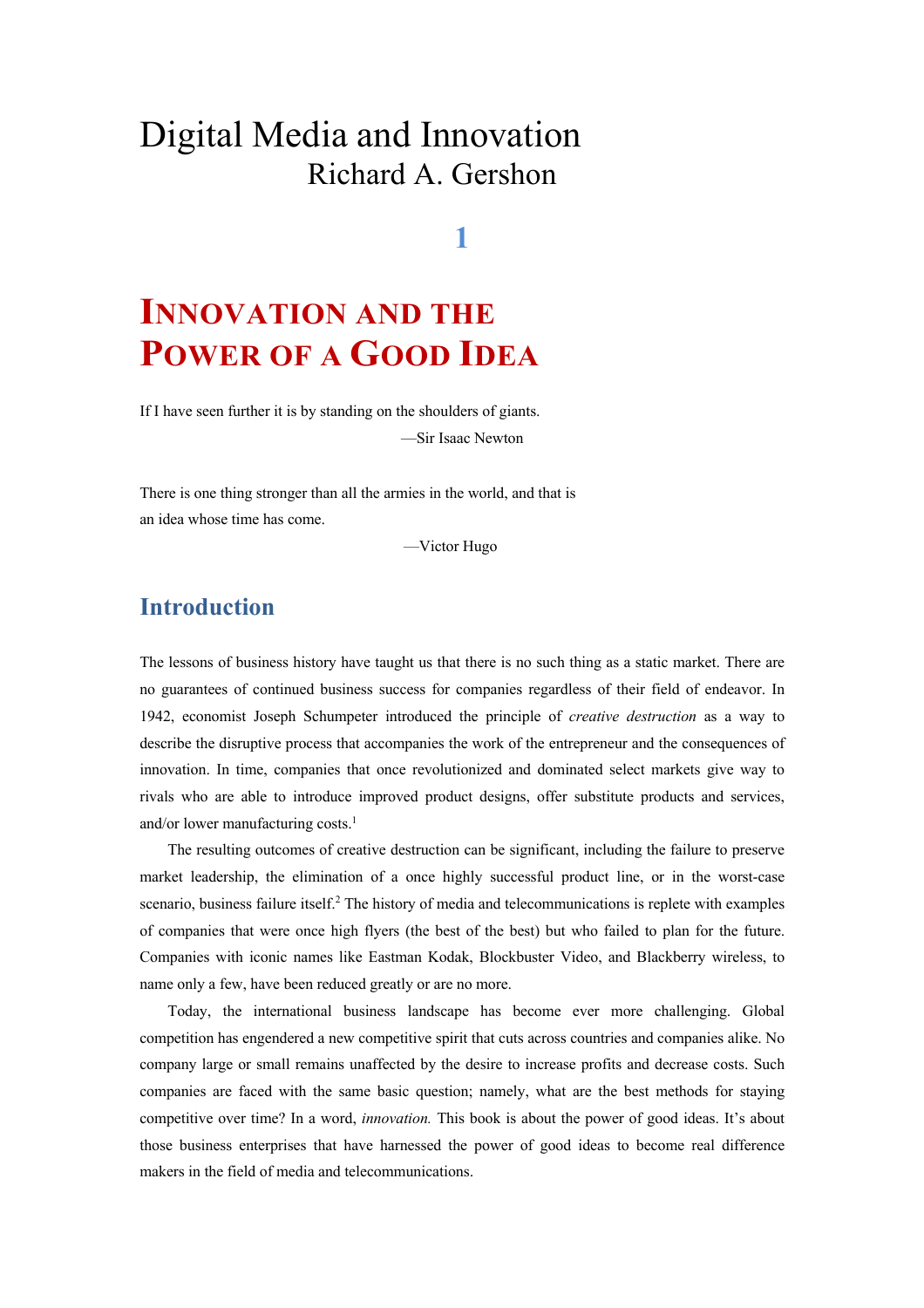# Digital Media and Innovation Richard A. Gershon

# **1**

# **INNOVATION AND THE POWER OF A GOOD IDEA**

If I have seen further it is by standing on the shoulders of giants. —Sir Isaac Newton

There is one thing stronger than all the armies in the world, and that is an idea whose time has come.

—Victor Hugo

# **Introduction**

The lessons of business history have taught us that there is no such thing as a static market. There are no guarantees of continued business success for companies regardless of their field of endeavor. In 1942, economist Joseph Schumpeter introduced the principle of *creative destruction* as a way to describe the disruptive process that accompanies the work of the entrepreneur and the consequences of innovation. In time, companies that once revolutionized and dominated select markets give way to rivals who are able to introduce improved product designs, offer substitute products and services, and/or lower manufacturing costs. 1

The resulting outcomes of creative destruction can be significant, including the failure to preserve market leadership, the elimination of a once highly successful product line, or in the worst-case scenario, business failure itself.<sup>2</sup> The history of media and telecommunications is replete with examples of companies that were once high flyers (the best of the best) but who failed to plan for the future. Companies with iconic names like Eastman Kodak, Blockbuster Video, and Blackberry wireless, to name only a few, have been reduced greatly or are no more.

Today, the international business landscape has become ever more challenging. Global competition has engendered a new competitive spirit that cuts across countries and companies alike. No company large or small remains unaffected by the desire to increase profits and decrease costs. Such companies are faced with the same basic question; namely, what are the best methods for staying competitive over time? In a word, *innovation.* This book is about the power of good ideas. It's about those business enterprises that have harnessed the power of good ideas to become real difference makers in the field of media and telecommunications.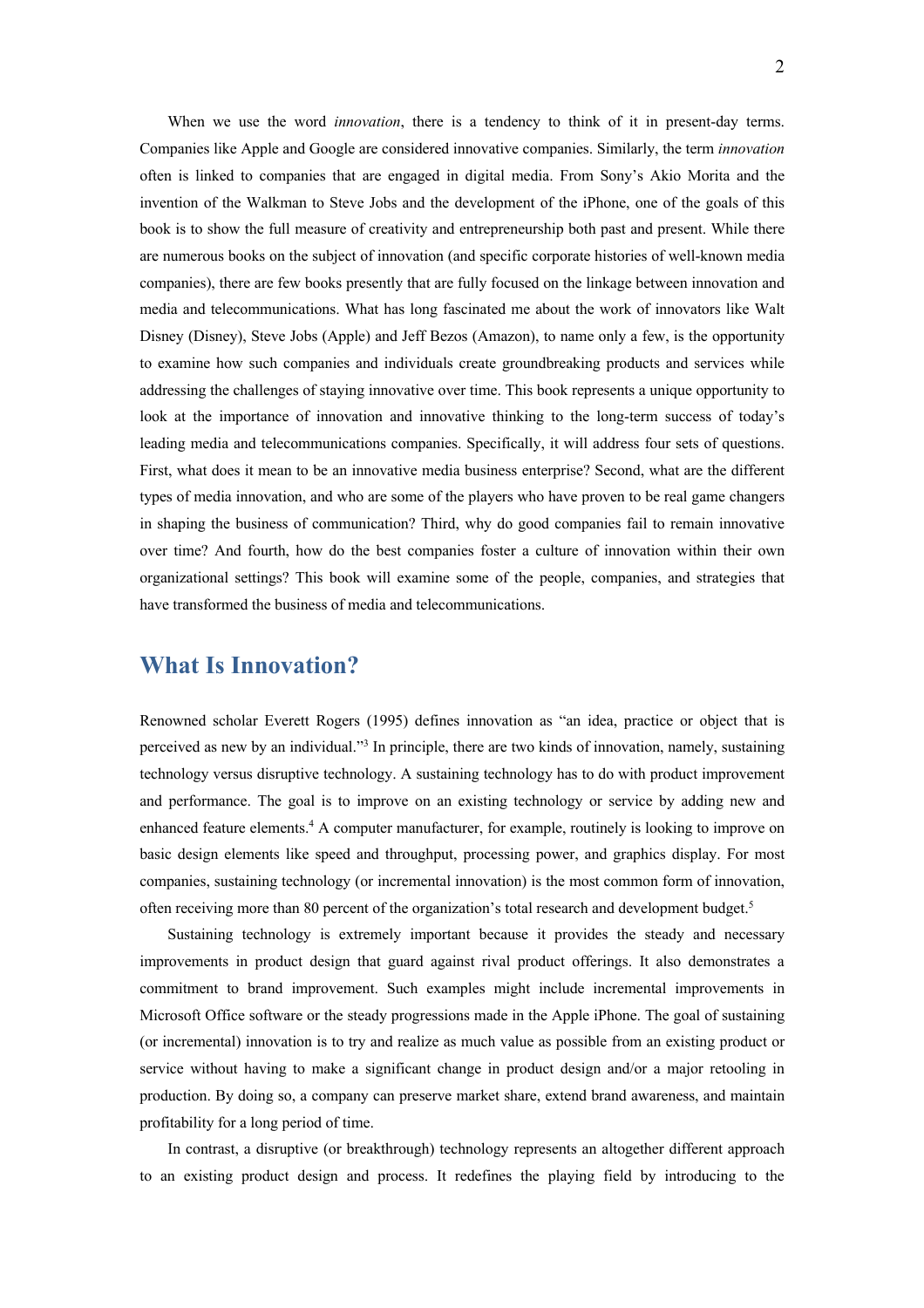When we use the word *innovation*, there is a tendency to think of it in present-day terms. Companies like Apple and Google are considered innovative companies. Similarly, the term *innovation* often is linked to companies that are engaged in digital media. From Sony's Akio Morita and the invention of the Walkman to Steve Jobs and the development of the iPhone, one of the goals of this book is to show the full measure of creativity and entrepreneurship both past and present. While there are numerous books on the subject of innovation (and specific corporate histories of well-known media companies), there are few books presently that are fully focused on the linkage between innovation and media and telecommunications. What has long fascinated me about the work of innovators like Walt Disney (Disney), Steve Jobs (Apple) and Jeff Bezos (Amazon), to name only a few, is the opportunity to examine how such companies and individuals create groundbreaking products and services while addressing the challenges of staying innovative over time. This book represents a unique opportunity to look at the importance of innovation and innovative thinking to the long-term success of today's leading media and telecommunications companies. Specifically, it will address four sets of questions. First, what does it mean to be an innovative media business enterprise? Second, what are the different types of media innovation, and who are some of the players who have proven to be real game changers in shaping the business of communication? Third, why do good companies fail to remain innovative over time? And fourth, how do the best companies foster a culture of innovation within their own organizational settings? This book will examine some of the people, companies, and strategies that have transformed the business of media and telecommunications.

## **What Is Innovation?**

Renowned scholar Everett Rogers (1995) defines innovation as "an idea, practice or object that is perceived as new by an individual."3 In principle, there are two kinds of innovation, namely, sustaining technology versus disruptive technology. A sustaining technology has to do with product improvement and performance. The goal is to improve on an existing technology or service by adding new and enhanced feature elements.4 A computer manufacturer, for example, routinely is looking to improve on basic design elements like speed and throughput, processing power, and graphics display. For most companies, sustaining technology (or incremental innovation) is the most common form of innovation, often receiving more than 80 percent of the organization's total research and development budget.5

Sustaining technology is extremely important because it provides the steady and necessary improvements in product design that guard against rival product offerings. It also demonstrates a commitment to brand improvement. Such examples might include incremental improvements in Microsoft Office software or the steady progressions made in the Apple iPhone. The goal of sustaining (or incremental) innovation is to try and realize as much value as possible from an existing product or service without having to make a significant change in product design and/or a major retooling in production. By doing so, a company can preserve market share, extend brand awareness, and maintain profitability for a long period of time.

In contrast, a disruptive (or breakthrough) technology represents an altogether different approach to an existing product design and process. It redefines the playing field by introducing to the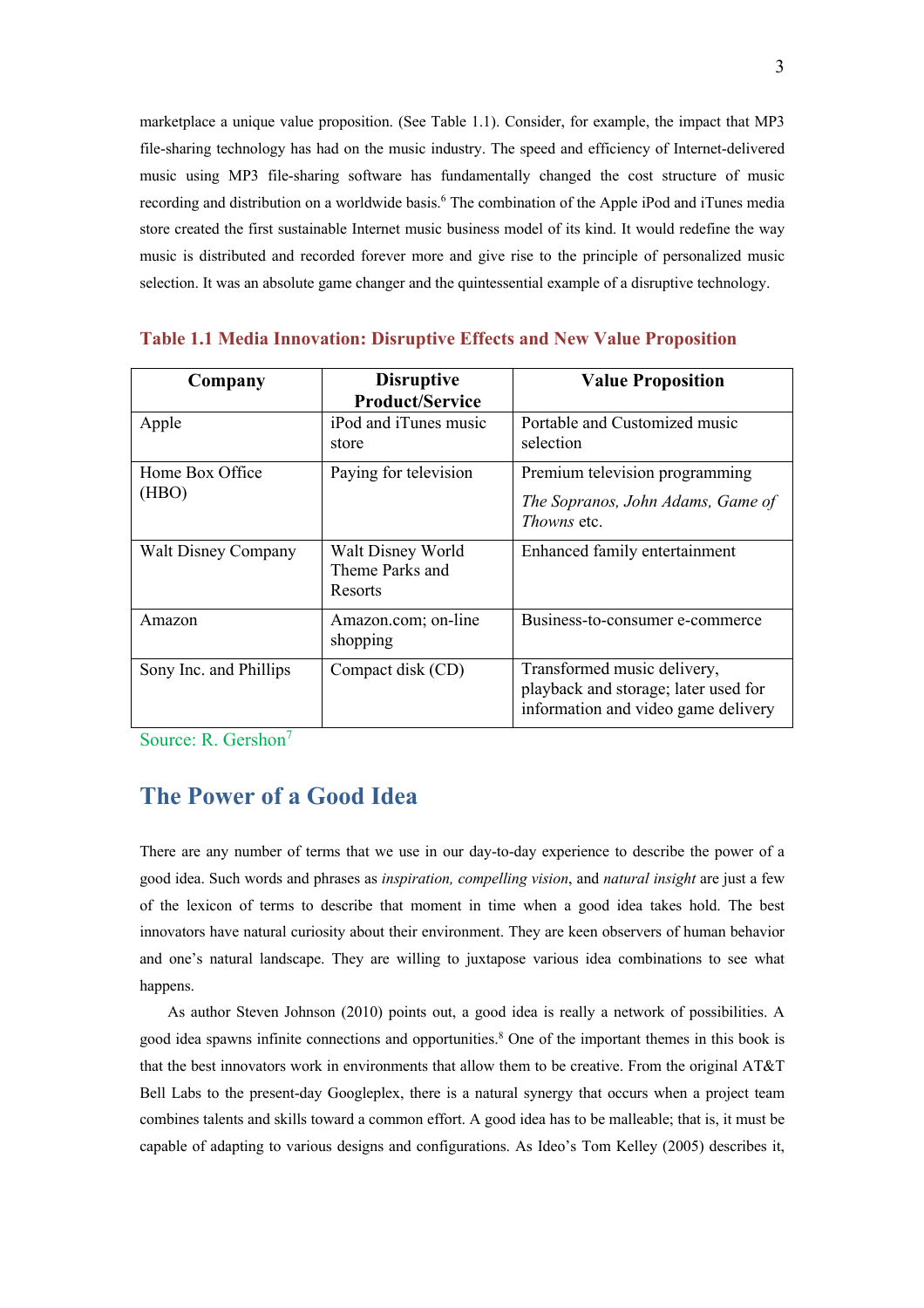marketplace a unique value proposition. (See Table 1.1). Consider, for example, the impact that MP3 file-sharing technology has had on the music industry. The speed and efficiency of Internet-delivered music using MP3 file-sharing software has fundamentally changed the cost structure of music recording and distribution on a worldwide basis.<sup>6</sup> The combination of the Apple iPod and iTunes media store created the first sustainable Internet music business model of its kind. It would redefine the way music is distributed and recorded forever more and give rise to the principle of personalized music selection. It was an absolute game changer and the quintessential example of a disruptive technology.

| Company                  | <b>Disruptive</b><br><b>Product/Service</b>     | <b>Value Proposition</b>                                                                                   |
|--------------------------|-------------------------------------------------|------------------------------------------------------------------------------------------------------------|
| Apple                    | iPod and iTunes music<br>store                  | Portable and Customized music<br>selection                                                                 |
| Home Box Office<br>(HBO) | Paying for television                           | Premium television programming<br>The Sopranos, John Adams, Game of<br><i>Thowns</i> etc.                  |
| Walt Disney Company      | Walt Disney World<br>Theme Parks and<br>Resorts | Enhanced family entertainment                                                                              |
| Amazon                   | Amazon.com; on-line<br>shopping                 | Business-to-consumer e-commerce                                                                            |
| Sony Inc. and Phillips   | Compact disk (CD)                               | Transformed music delivery,<br>playback and storage; later used for<br>information and video game delivery |

#### **Table 1.1 Media Innovation: Disruptive Effects and New Value Proposition**

Source: R. Gershon7

# **The Power of a Good Idea**

There are any number of terms that we use in our day-to-day experience to describe the power of a good idea. Such words and phrases as *inspiration, compelling vision*, and *natural insight* are just a few of the lexicon of terms to describe that moment in time when a good idea takes hold. The best innovators have natural curiosity about their environment. They are keen observers of human behavior and one's natural landscape. They are willing to juxtapose various idea combinations to see what happens.

As author Steven Johnson (2010) points out, a good idea is really a network of possibilities. A good idea spawns infinite connections and opportunities.8 One of the important themes in this book is that the best innovators work in environments that allow them to be creative. From the original AT&T Bell Labs to the present-day Googleplex, there is a natural synergy that occurs when a project team combines talents and skills toward a common effort. A good idea has to be malleable; that is, it must be capable of adapting to various designs and configurations. As Ideo's Tom Kelley (2005) describes it,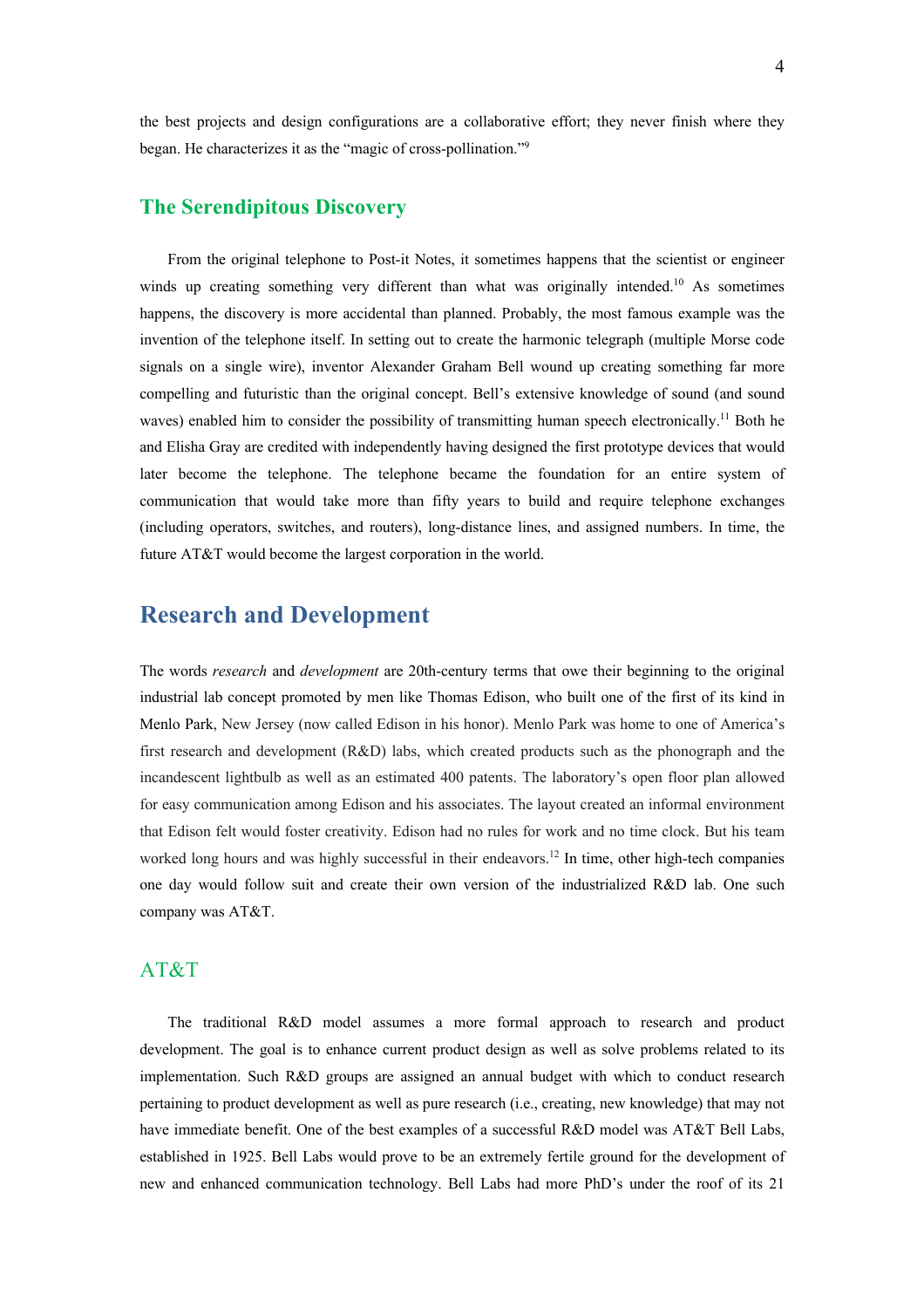the best projects and design configurations are a collaborative effort; they never finish where they began. He characterizes it as the "magic of cross-pollination."9

#### **The Serendipitous Discovery**

From the original telephone to Post-it Notes, it sometimes happens that the scientist or engineer winds up creating something very different than what was originally intended.<sup>10</sup> As sometimes happens, the discovery is more accidental than planned. Probably, the most famous example was the invention of the telephone itself. In setting out to create the harmonic telegraph (multiple Morse code signals on a single wire), inventor Alexander Graham Bell wound up creating something far more compelling and futuristic than the original concept. Bell's extensive knowledge of sound (and sound waves) enabled him to consider the possibility of transmitting human speech electronically.<sup>11</sup> Both he and Elisha Gray are credited with independently having designed the first prototype devices that would later become the telephone. The telephone became the foundation for an entire system of communication that would take more than fifty years to build and require telephone exchanges (including operators, switches, and routers), long-distance lines, and assigned numbers. In time, the future AT&T would become the largest corporation in the world.

# **Research and Development**

The words *research* and *development* are 20th-century terms that owe their beginning to the original industrial lab concept promoted by men like Thomas Edison, who built one of the first of its kind in Menlo Park, New Jersey (now called Edison in his honor). Menlo Park was home to one of America's first research and development (R&D) labs, which created products such as the phonograph and the incandescent lightbulb as well as an estimated 400 patents. The laboratory's open floor plan allowed for easy communication among Edison and his associates. The layout created an informal environment that Edison felt would foster creativity. Edison had no rules for work and no time clock. But his team worked long hours and was highly successful in their endeavors.<sup>12</sup> In time, other high-tech companies one day would follow suit and create their own version of the industrialized R&D lab. One such company was AT&T.

#### AT&T

The traditional R&D model assumes a more formal approach to research and product development. The goal is to enhance current product design as well as solve problems related to its implementation. Such R&D groups are assigned an annual budget with which to conduct research pertaining to product development as well as pure research (i.e., creating, new knowledge) that may not have immediate benefit. One of the best examples of a successful R&D model was AT&T Bell Labs, established in 1925. Bell Labs would prove to be an extremely fertile ground for the development of new and enhanced communication technology. Bell Labs had more PhD's under the roof of its 21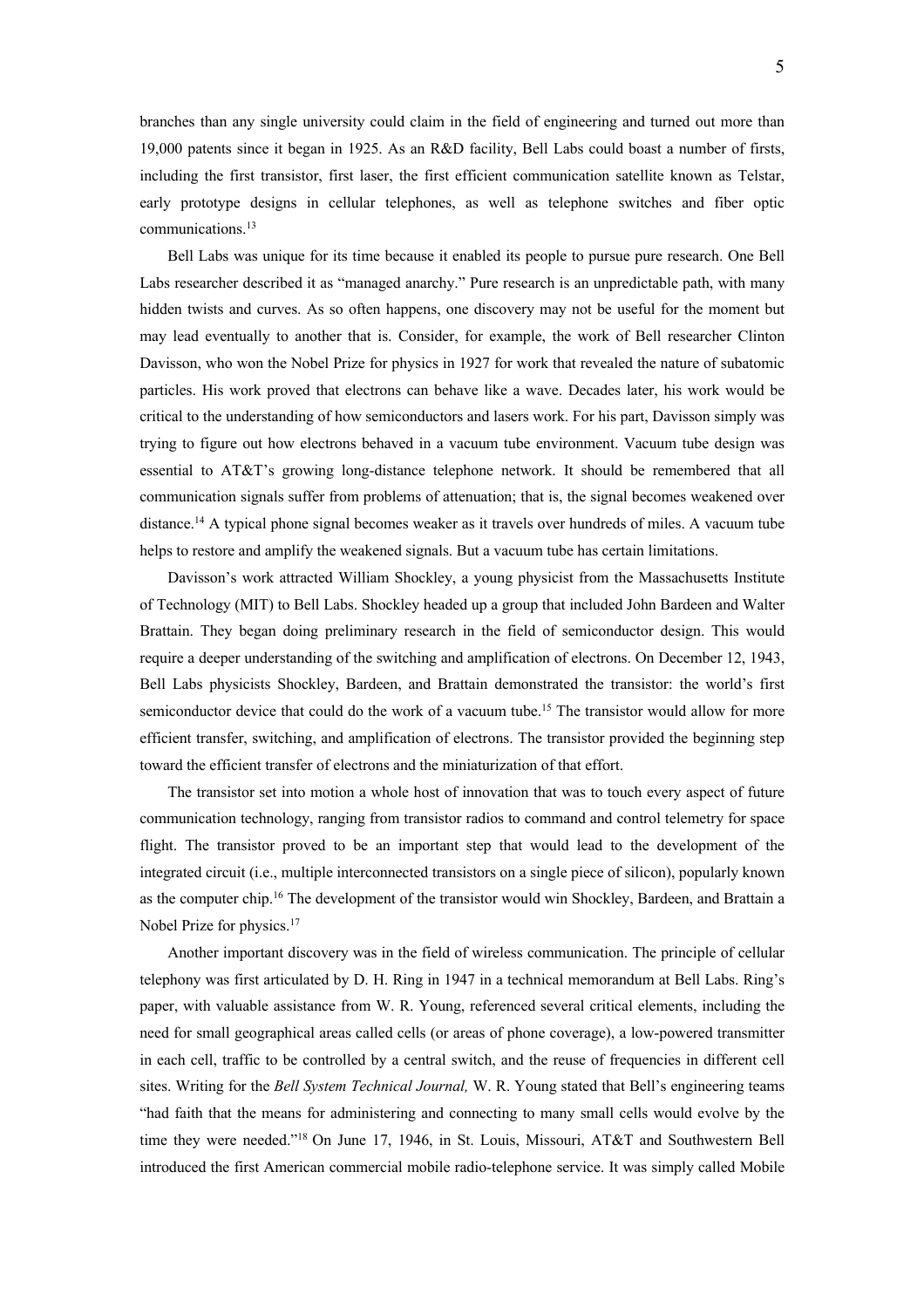branches than any single university could claim in the field of engineering and turned out more than 19,000 patents since it began in 1925. As an R&D facility, Bell Labs could boast a number of firsts, including the first transistor, first laser, the first efficient communication satellite known as Telstar, early prototype designs in cellular telephones, as well as telephone switches and fiber optic communications. 13

Bell Labs was unique for its time because it enabled its people to pursue pure research. One Bell Labs researcher described it as "managed anarchy." Pure research is an unpredictable path, with many hidden twists and curves. As so often happens, one discovery may not be useful for the moment but may lead eventually to another that is. Consider, for example, the work of Bell researcher Clinton Davisson, who won the Nobel Prize for physics in 1927 for work that revealed the nature of subatomic particles. His work proved that electrons can behave like a wave. Decades later, his work would be critical to the understanding of how semiconductors and lasers work. For his part, Davisson simply was trying to figure out how electrons behaved in a vacuum tube environment. Vacuum tube design was essential to AT&T's growing long-distance telephone network. It should be remembered that all communication signals suffer from problems of attenuation; that is, the signal becomes weakened over distance.14 A typical phone signal becomes weaker as it travels over hundreds of miles. A vacuum tube helps to restore and amplify the weakened signals. But a vacuum tube has certain limitations.

Davisson's work attracted William Shockley, a young physicist from the Massachusetts Institute of Technology (MIT) to Bell Labs. Shockley headed up a group that included John Bardeen and Walter Brattain. They began doing preliminary research in the field of semiconductor design. This would require a deeper understanding of the switching and amplification of electrons. On December 12, 1943, Bell Labs physicists Shockley, Bardeen, and Brattain demonstrated the transistor: the world's first semiconductor device that could do the work of a vacuum tube.<sup>15</sup> The transistor would allow for more efficient transfer, switching, and amplification of electrons. The transistor provided the beginning step toward the efficient transfer of electrons and the miniaturization of that effort.

The transistor set into motion a whole host of innovation that was to touch every aspect of future communication technology, ranging from transistor radios to command and control telemetry for space flight. The transistor proved to be an important step that would lead to the development of the integrated circuit (i.e., multiple interconnected transistors on a single piece of silicon), popularly known as the computer chip.16 The development of the transistor would win Shockley, Bardeen, and Brattain a Nobel Prize for physics.17

Another important discovery was in the field of wireless communication. The principle of cellular telephony was first articulated by D. H. Ring in 1947 in a technical memorandum at Bell Labs. Ring's paper, with valuable assistance from W. R. Young, referenced several critical elements, including the need for small geographical areas called cells (or areas of phone coverage), a low-powered transmitter in each cell, traffic to be controlled by a central switch, and the reuse of frequencies in different cell sites. Writing for the *Bell System Technical Journal,* W. R. Young stated that Bell's engineering teams "had faith that the means for administering and connecting to many small cells would evolve by the time they were needed."18 On June 17, 1946, in St. Louis, Missouri, AT&T and Southwestern Bell introduced the first American commercial mobile radio-telephone service. It was simply called Mobile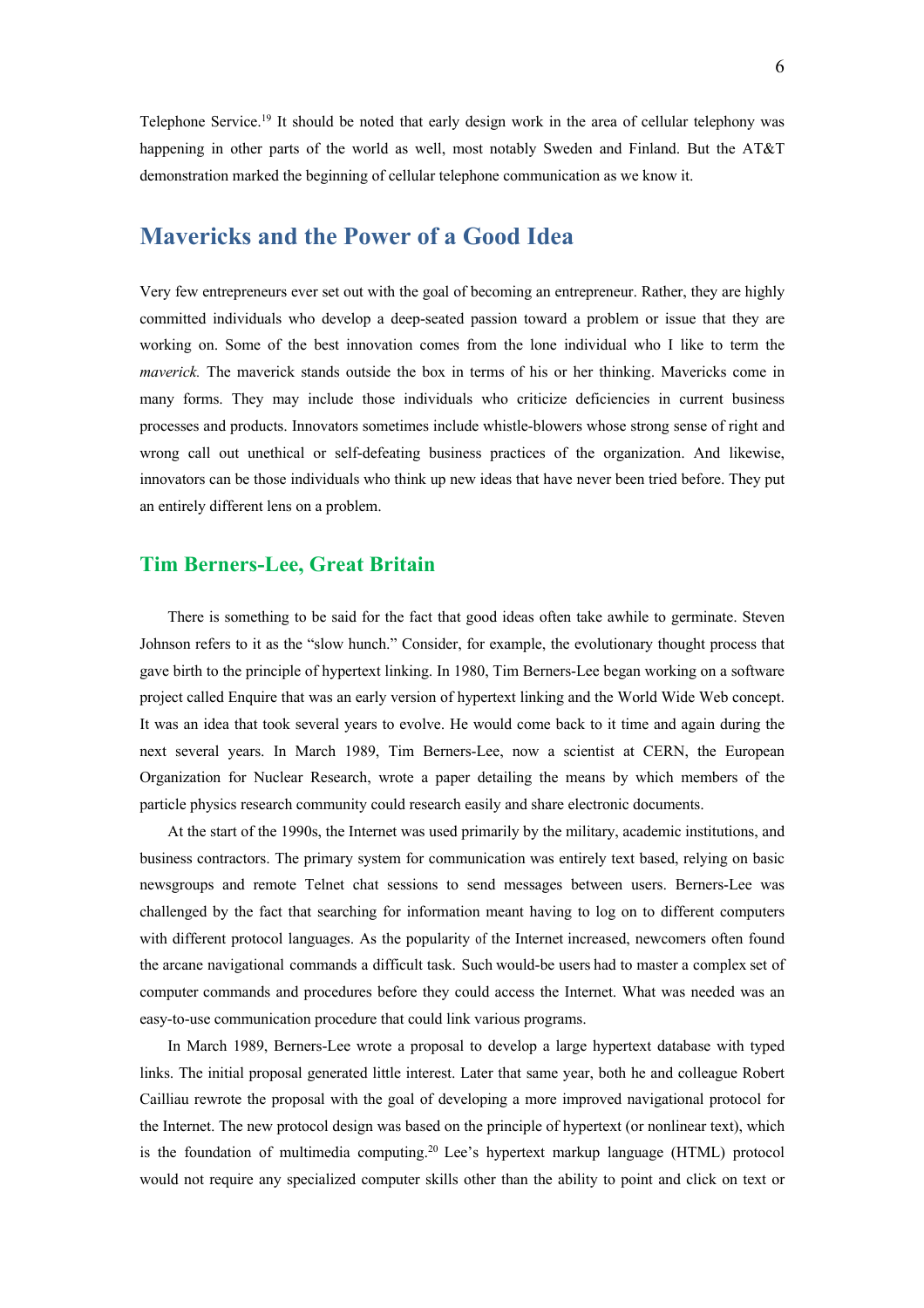Telephone Service.<sup>19</sup> It should be noted that early design work in the area of cellular telephony was happening in other parts of the world as well, most notably Sweden and Finland. But the AT&T demonstration marked the beginning of cellular telephone communication as we know it.

# **Mavericks and the Power of a Good Idea**

Very few entrepreneurs ever set out with the goal of becoming an entrepreneur. Rather, they are highly committed individuals who develop a deep-seated passion toward a problem or issue that they are working on. Some of the best innovation comes from the lone individual who I like to term the *maverick.* The maverick stands outside the box in terms of his or her thinking. Mavericks come in many forms. They may include those individuals who criticize deficiencies in current business processes and products. Innovators sometimes include whistle-blowers whose strong sense of right and wrong call out unethical or self-defeating business practices of the organization. And likewise, innovators can be those individuals who think up new ideas that have never been tried before. They put an entirely different lens on a problem.

#### **Tim Berners-Lee, Great Britain**

There is something to be said for the fact that good ideas often take awhile to germinate. Steven Johnson refers to it as the "slow hunch." Consider, for example, the evolutionary thought process that gave birth to the principle of hypertext linking. In 1980, Tim Berners-Lee began working on a software project called Enquire that was an early version of hypertext linking and the World Wide Web concept. It was an idea that took several years to evolve. He would come back to it time and again during the next several years. In March 1989, Tim Berners-Lee, now a scientist at CERN, the European Organization for Nuclear Research, wrote a paper detailing the means by which members of the particle physics research community could research easily and share electronic documents.

At the start of the 1990s, the Internet was used primarily by the military, academic institutions, and business contractors. The primary system for communication was entirely text based, relying on basic newsgroups and remote Telnet chat sessions to send messages between users. Berners-Lee was challenged by the fact that searching for information meant having to log on to different computers with different protocol languages. As the popularity of the Internet increased, newcomers often found the arcane navigational commands a difficult task. Such would-be users had to master a complex set of computer commands and procedures before they could access the Internet. What was needed was an easy-to-use communication procedure that could link various programs.

In March 1989, Berners-Lee wrote a proposal to develop a large hypertext database with typed links. The initial proposal generated little interest. Later that same year, both he and colleague Robert Cailliau rewrote the proposal with the goal of developing a more improved navigational protocol for the Internet. The new protocol design was based on the principle of hypertext (or nonlinear text), which is the foundation of multimedia computing.20 Lee's hypertext markup language (HTML) protocol would not require any specialized computer skills other than the ability to point and click on text or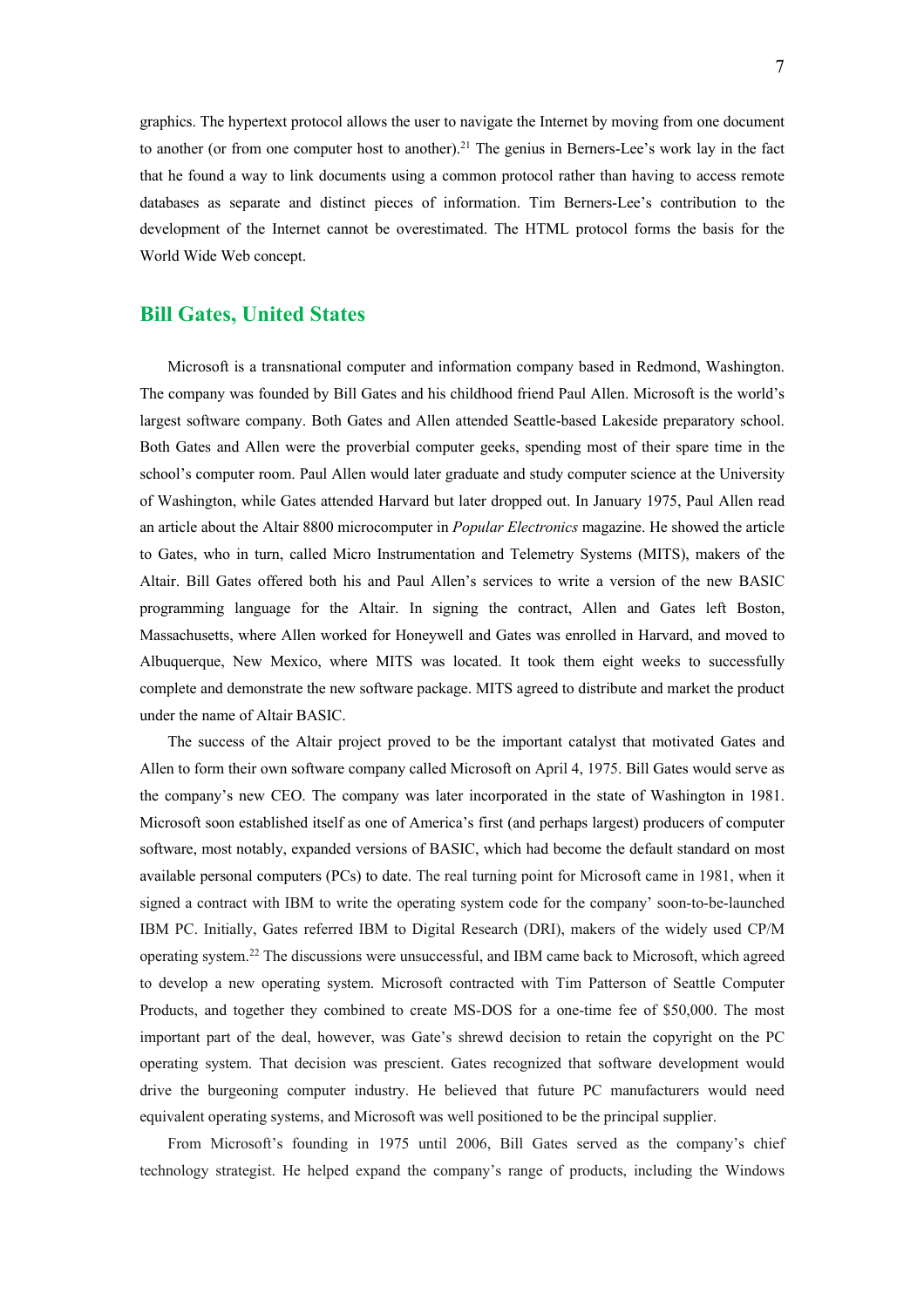graphics. The hypertext protocol allows the user to navigate the Internet by moving from one document to another (or from one computer host to another).<sup>21</sup> The genius in Berners-Lee's work lay in the fact that he found a way to link documents using a common protocol rather than having to access remote databases as separate and distinct pieces of information. Tim Berners-Lee's contribution to the development of the Internet cannot be overestimated. The HTML protocol forms the basis for the World Wide Web concept.

#### **Bill Gates, United States**

Microsoft is a transnational computer and information company based in Redmond, Washington. The company was founded by Bill Gates and his childhood friend Paul Allen. Microsoft is the world's largest software company. Both Gates and Allen attended Seattle-based Lakeside preparatory school. Both Gates and Allen were the proverbial computer geeks, spending most of their spare time in the school's computer room. Paul Allen would later graduate and study computer science at the University of Washington, while Gates attended Harvard but later dropped out. In January 1975, Paul Allen read an article about the Altair 8800 microcomputer in *Popular Electronics* magazine. He showed the article to Gates, who in turn, called Micro Instrumentation and Telemetry Systems (MITS), makers of the Altair. Bill Gates offered both his and Paul Allen's services to write a version of the new BASIC programming language for the Altair. In signing the contract, Allen and Gates left Boston, Massachusetts, where Allen worked for Honeywell and Gates was enrolled in Harvard, and moved to Albuquerque, New Mexico, where MITS was located. It took them eight weeks to successfully complete and demonstrate the new software package. MITS agreed to distribute and market the product under the name of Altair BASIC.

The success of the Altair project proved to be the important catalyst that motivated Gates and Allen to form their own software company called Microsoft on April 4, 1975. Bill Gates would serve as the company's new CEO. The company was later incorporated in the state of Washington in 1981. Microsoft soon established itself as one of America's first (and perhaps largest) producers of computer software, most notably, expanded versions of BASIC, which had become the default standard on most available personal computers (PCs) to date. The real turning point for Microsoft came in 1981, when it signed a contract with IBM to write the operating system code for the company' soon-to-be-launched IBM PC. Initially, Gates referred IBM to Digital Research (DRI), makers of the widely used CP/M operating system.22 The discussions were unsuccessful, and IBM came back to Microsoft, which agreed to develop a new operating system. Microsoft contracted with Tim Patterson of Seattle Computer Products, and together they combined to create MS-DOS for a one-time fee of \$50,000. The most important part of the deal, however, was Gate's shrewd decision to retain the copyright on the PC operating system. That decision was prescient. Gates recognized that software development would drive the burgeoning computer industry. He believed that future PC manufacturers would need equivalent operating systems, and Microsoft was well positioned to be the principal supplier.

From Microsoft's founding in 1975 until 2006, Bill Gates served as the company's chief technology strategist. He helped expand the company's range of products, including the Windows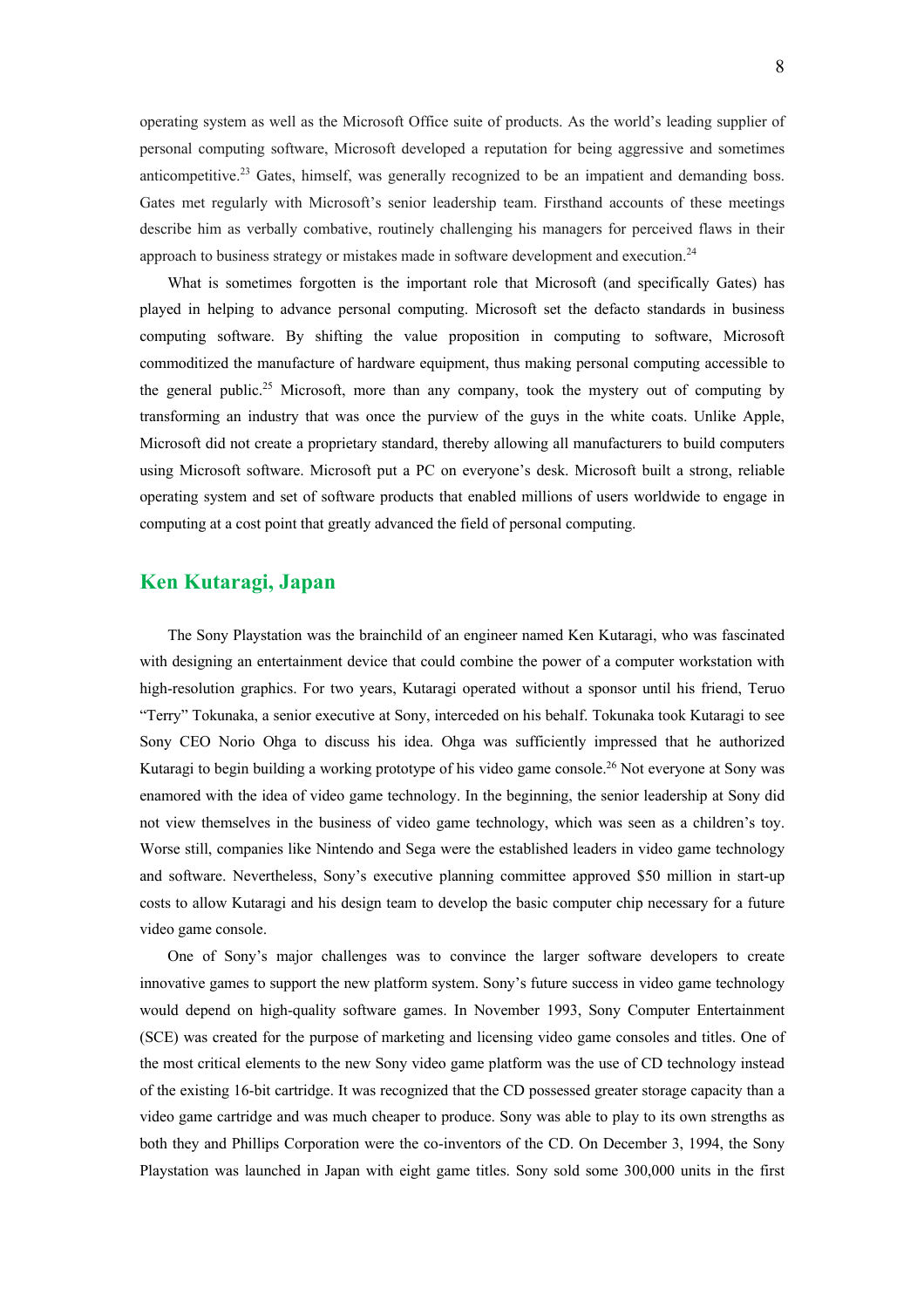operating system as well as the Microsoft Office suite of products. As the world's leading supplier of personal computing software, Microsoft developed a reputation for being aggressive and sometimes anticompetitive.23 Gates, himself, was generally recognized to be an impatient and demanding boss. Gates met regularly with Microsoft's senior leadership team. Firsthand accounts of these meetings describe him as verbally combative, routinely challenging his managers for perceived flaws in their approach to business strategy or mistakes made in software development and execution.<sup>24</sup>

What is sometimes forgotten is the important role that Microsoft (and specifically Gates) has played in helping to advance personal computing. Microsoft set the defacto standards in business computing software. By shifting the value proposition in computing to software, Microsoft commoditized the manufacture of hardware equipment, thus making personal computing accessible to the general public.<sup>25</sup> Microsoft, more than any company, took the mystery out of computing by transforming an industry that was once the purview of the guys in the white coats. Unlike Apple, Microsoft did not create a proprietary standard, thereby allowing all manufacturers to build computers using Microsoft software. Microsoft put a PC on everyone's desk. Microsoft built a strong, reliable operating system and set of software products that enabled millions of users worldwide to engage in computing at a cost point that greatly advanced the field of personal computing.

#### **Ken Kutaragi, Japan**

The Sony Playstation was the brainchild of an engineer named Ken Kutaragi, who was fascinated with designing an entertainment device that could combine the power of a computer workstation with high-resolution graphics. For two years, Kutaragi operated without a sponsor until his friend, Teruo "Terry" Tokunaka, a senior executive at Sony, interceded on his behalf. Tokunaka took Kutaragi to see Sony CEO Norio Ohga to discuss his idea. Ohga was sufficiently impressed that he authorized Kutaragi to begin building a working prototype of his video game console.26 Not everyone at Sony was enamored with the idea of video game technology. In the beginning, the senior leadership at Sony did not view themselves in the business of video game technology, which was seen as a children's toy. Worse still, companies like Nintendo and Sega were the established leaders in video game technology and software. Nevertheless, Sony's executive planning committee approved \$50 million in start-up costs to allow Kutaragi and his design team to develop the basic computer chip necessary for a future video game console.

One of Sony's major challenges was to convince the larger software developers to create innovative games to support the new platform system. Sony's future success in video game technology would depend on high-quality software games. In November 1993, Sony Computer Entertainment (SCE) was created for the purpose of marketing and licensing video game consoles and titles. One of the most critical elements to the new Sony video game platform was the use of CD technology instead of the existing 16-bit cartridge. It was recognized that the CD possessed greater storage capacity than a video game cartridge and was much cheaper to produce. Sony was able to play to its own strengths as both they and Phillips Corporation were the co-inventors of the CD. On December 3, 1994, the Sony Playstation was launched in Japan with eight game titles. Sony sold some 300,000 units in the first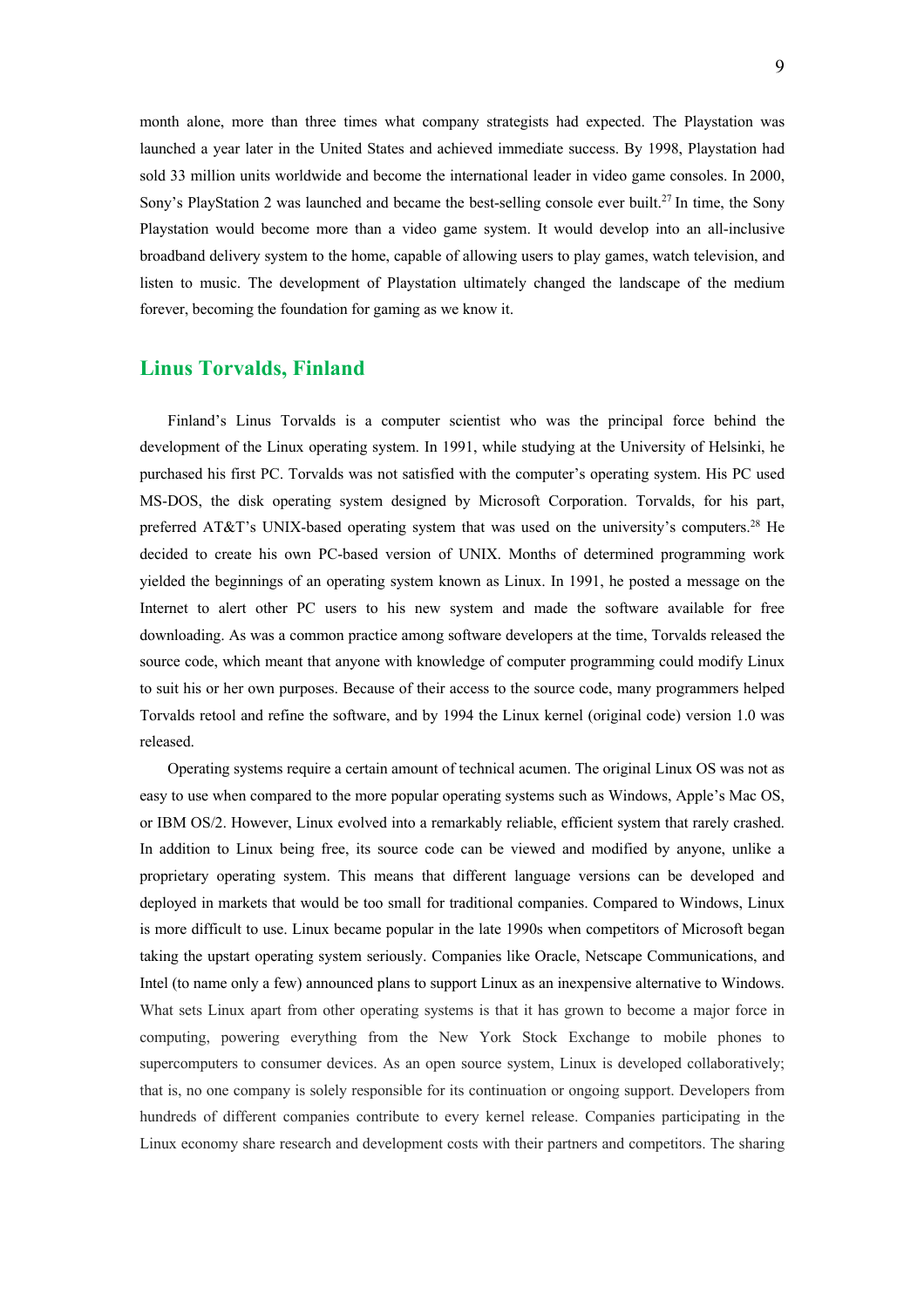month alone, more than three times what company strategists had expected. The Playstation was launched a year later in the United States and achieved immediate success. By 1998, Playstation had sold 33 million units worldwide and become the international leader in video game consoles. In 2000, Sony's PlayStation 2 was launched and became the best-selling console ever built.<sup>27</sup> In time, the Sony Playstation would become more than a video game system. It would develop into an all-inclusive broadband delivery system to the home, capable of allowing users to play games, watch television, and listen to music. The development of Playstation ultimately changed the landscape of the medium forever, becoming the foundation for gaming as we know it.

#### **Linus Torvalds, Finland**

Finland's Linus Torvalds is a computer scientist who was the principal force behind the development of the Linux operating system. In 1991, while studying at the University of Helsinki, he purchased his first PC. Torvalds was not satisfied with the computer's operating system. His PC used MS-DOS, the disk operating system designed by Microsoft Corporation. Torvalds, for his part, preferred AT&T's UNIX-based operating system that was used on the university's computers.<sup>28</sup> He decided to create his own PC-based version of UNIX. Months of determined programming work yielded the beginnings of an operating system known as Linux. In 1991, he posted a message on the Internet to alert other PC users to his new system and made the software available for free downloading. As was a common practice among software developers at the time, Torvalds released the source code, which meant that anyone with knowledge of computer programming could modify Linux to suit his or her own purposes. Because of their access to the source code, many programmers helped Torvalds retool and refine the software, and by 1994 the Linux kernel (original code) version 1.0 was released.

Operating systems require a certain amount of technical acumen. The original Linux OS was not as easy to use when compared to the more popular operating systems such as Windows, Apple's Mac OS, or IBM OS/2. However, Linux evolved into a remarkably reliable, efficient system that rarely crashed. In addition to Linux being free, its source code can be viewed and modified by anyone, unlike a proprietary operating system. This means that different language versions can be developed and deployed in markets that would be too small for traditional companies. Compared to Windows, Linux is more difficult to use. Linux became popular in the late 1990s when competitors of Microsoft began taking the upstart operating system seriously. Companies like Oracle, Netscape Communications, and Intel (to name only a few) announced plans to support Linux as an inexpensive alternative to Windows. What sets Linux apart from other operating systems is that it has grown to become a major force in computing, powering everything from the New York Stock Exchange to mobile phones to supercomputers to consumer devices. As an open source system, Linux is developed collaboratively; that is, no one company is solely responsible for its continuation or ongoing support. Developers from hundreds of different companies contribute to every kernel release. Companies participating in the Linux economy share research and development costs with their partners and competitors. The sharing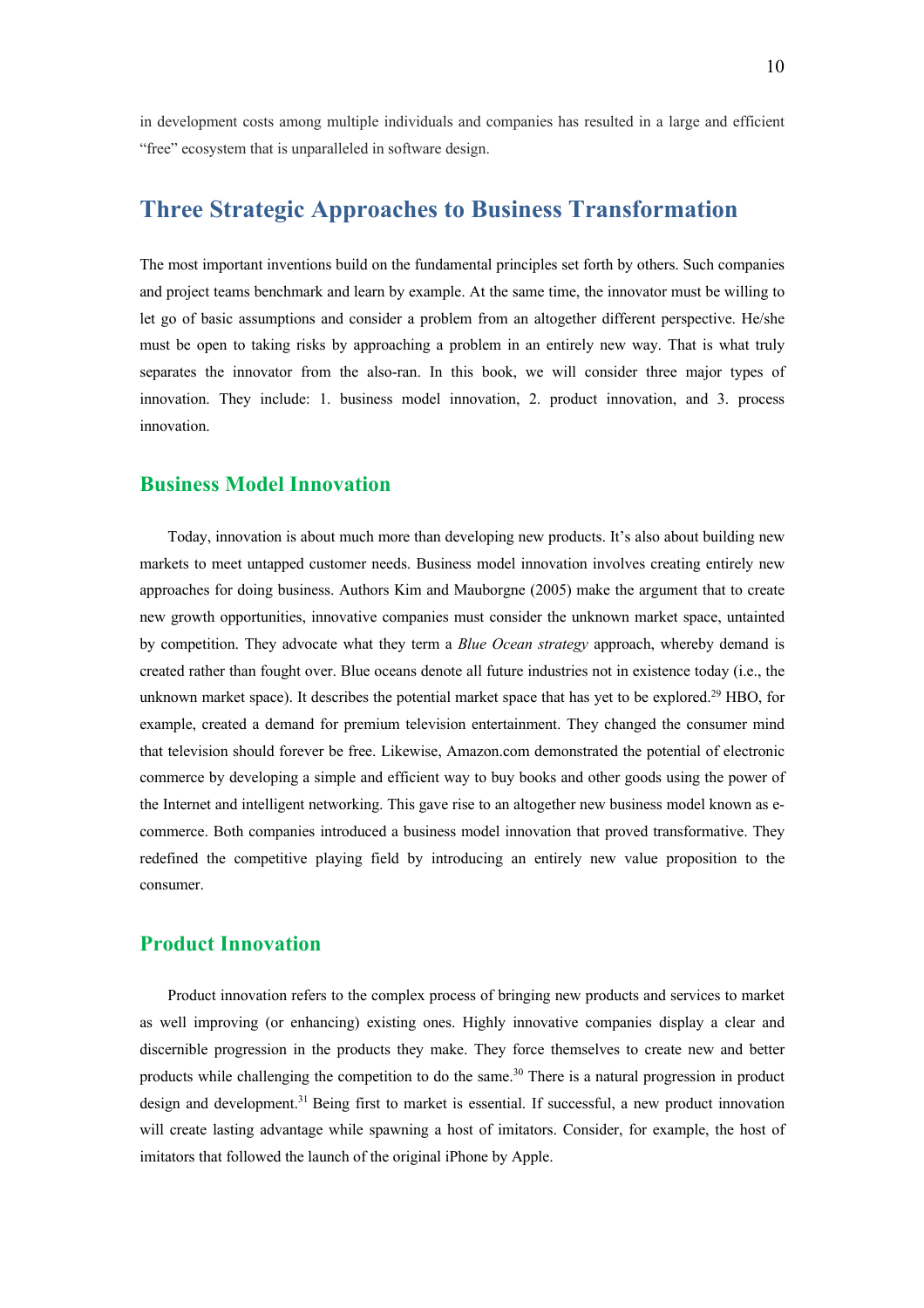in development costs among multiple individuals and companies has resulted in a large and efficient "free" ecosystem that is unparalleled in software design.

# **Three Strategic Approaches to Business Transformation**

The most important inventions build on the fundamental principles set forth by others. Such companies and project teams benchmark and learn by example. At the same time, the innovator must be willing to let go of basic assumptions and consider a problem from an altogether different perspective. He/she must be open to taking risks by approaching a problem in an entirely new way. That is what truly separates the innovator from the also-ran. In this book, we will consider three major types of innovation. They include: 1. business model innovation, 2. product innovation, and 3. process innovation.

#### **Business Model Innovation**

Today, innovation is about much more than developing new products. It's also about building new markets to meet untapped customer needs. Business model innovation involves creating entirely new approaches for doing business. Authors Kim and Mauborgne (2005) make the argument that to create new growth opportunities, innovative companies must consider the unknown market space, untainted by competition. They advocate what they term a *Blue Ocean strategy* approach, whereby demand is created rather than fought over. Blue oceans denote all future industries not in existence today (i.e., the unknown market space). It describes the potential market space that has yet to be explored.<sup>29</sup> HBO, for example, created a demand for premium television entertainment. They changed the consumer mind that television should forever be free. Likewise, Amazon.com demonstrated the potential of electronic commerce by developing a simple and efficient way to buy books and other goods using the power of the Internet and intelligent networking. This gave rise to an altogether new business model known as ecommerce. Both companies introduced a business model innovation that proved transformative. They redefined the competitive playing field by introducing an entirely new value proposition to the consumer.

#### **Product Innovation**

Product innovation refers to the complex process of bringing new products and services to market as well improving (or enhancing) existing ones. Highly innovative companies display a clear and discernible progression in the products they make. They force themselves to create new and better products while challenging the competition to do the same.<sup>30</sup> There is a natural progression in product design and development.<sup>31</sup> Being first to market is essential. If successful, a new product innovation will create lasting advantage while spawning a host of imitators. Consider, for example, the host of imitators that followed the launch of the original iPhone by Apple.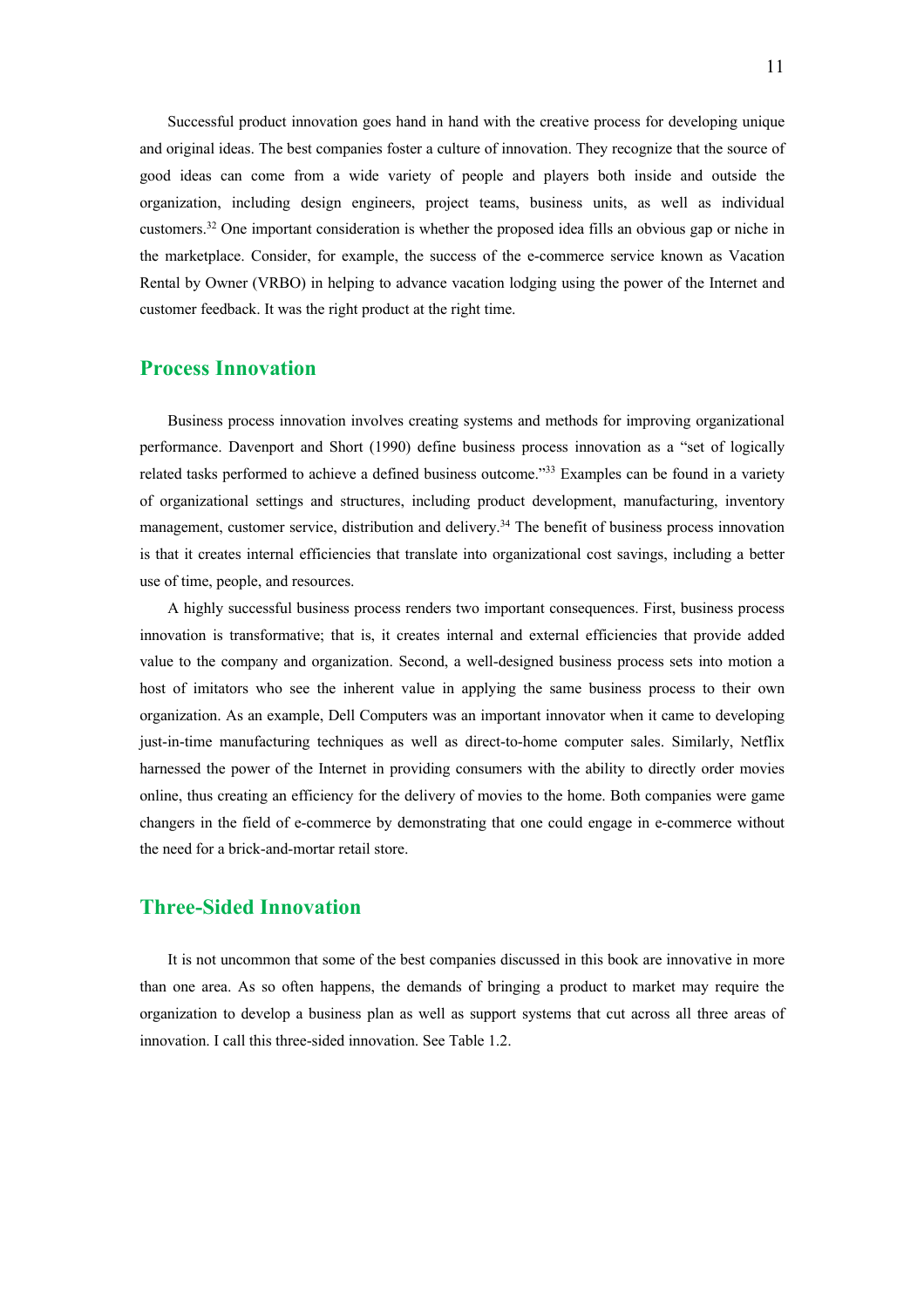Successful product innovation goes hand in hand with the creative process for developing unique and original ideas. The best companies foster a culture of innovation. They recognize that the source of good ideas can come from a wide variety of people and players both inside and outside the organization, including design engineers, project teams, business units, as well as individual customers.32 One important consideration is whether the proposed idea fills an obvious gap or niche in the marketplace. Consider, for example, the success of the e-commerce service known as Vacation Rental by Owner (VRBO) in helping to advance vacation lodging using the power of the Internet and customer feedback. It was the right product at the right time.

#### **Process Innovation**

Business process innovation involves creating systems and methods for improving organizational performance. Davenport and Short (1990) define business process innovation as a "set of logically related tasks performed to achieve a defined business outcome."33 Examples can be found in a variety of organizational settings and structures, including product development, manufacturing, inventory management, customer service, distribution and delivery.<sup>34</sup> The benefit of business process innovation is that it creates internal efficiencies that translate into organizational cost savings, including a better use of time, people, and resources.

A highly successful business process renders two important consequences. First, business process innovation is transformative; that is, it creates internal and external efficiencies that provide added value to the company and organization. Second, a well-designed business process sets into motion a host of imitators who see the inherent value in applying the same business process to their own organization. As an example, Dell Computers was an important innovator when it came to developing just-in-time manufacturing techniques as well as direct-to-home computer sales. Similarly, Netflix harnessed the power of the Internet in providing consumers with the ability to directly order movies online, thus creating an efficiency for the delivery of movies to the home. Both companies were game changers in the field of e-commerce by demonstrating that one could engage in e-commerce without the need for a brick-and-mortar retail store.

#### **Three-Sided Innovation**

It is not uncommon that some of the best companies discussed in this book are innovative in more than one area. As so often happens, the demands of bringing a product to market may require the organization to develop a business plan as well as support systems that cut across all three areas of innovation. I call this three-sided innovation. See Table 1.2.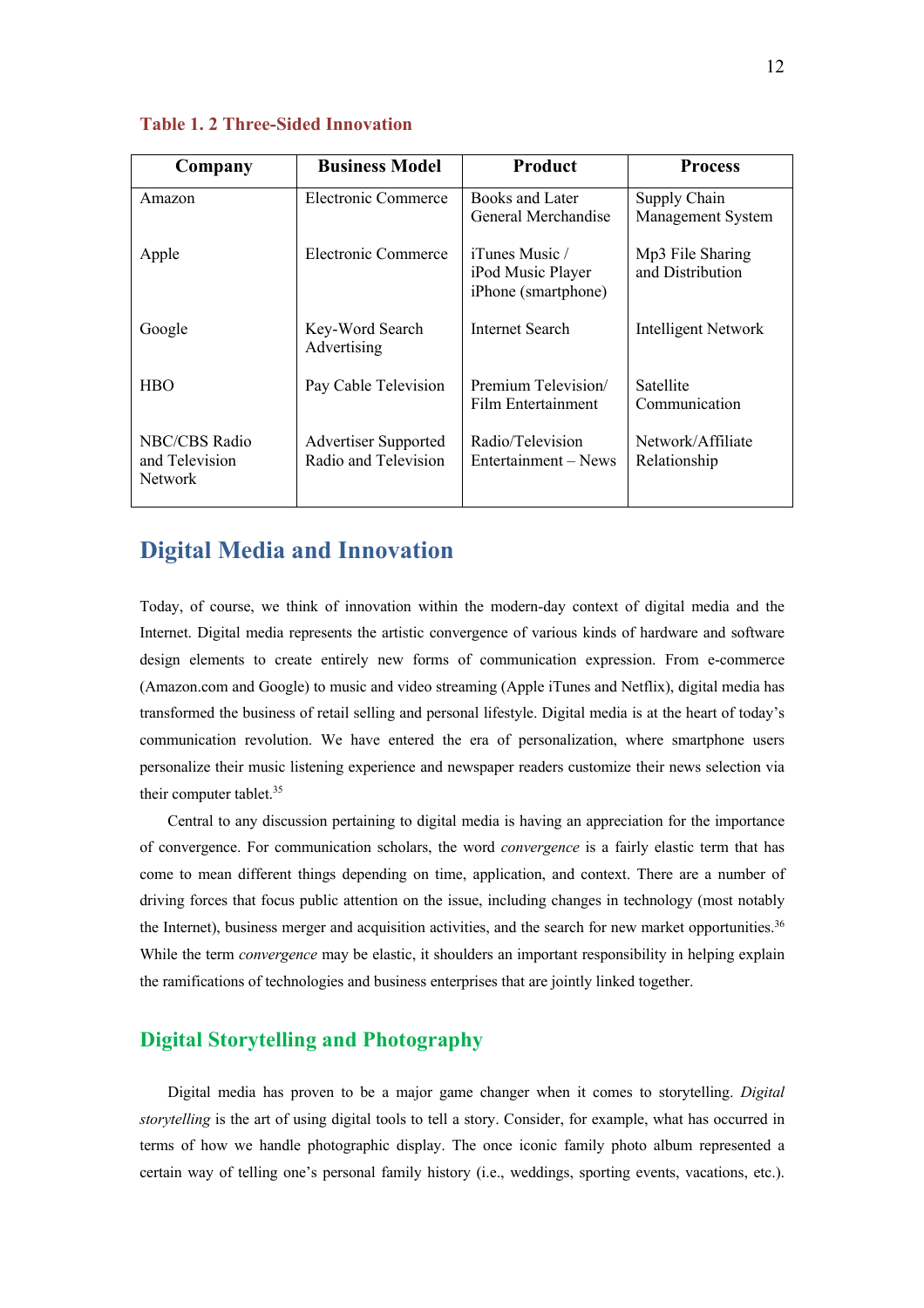| Company                                    | <b>Business Model</b>                               | Product                                                            | <b>Process</b>                       |
|--------------------------------------------|-----------------------------------------------------|--------------------------------------------------------------------|--------------------------------------|
| Amazon                                     | Electronic Commerce                                 | Books and Later<br>General Merchandise                             | Supply Chain<br>Management System    |
| Apple                                      | Electronic Commerce                                 | <i>i</i> Tunes Music /<br>iPod Music Player<br>iPhone (smartphone) | Mp3 File Sharing<br>and Distribution |
| Google                                     | Key-Word Search<br>Advertising                      | Internet Search                                                    | <b>Intelligent Network</b>           |
| <b>HBO</b>                                 | Pay Cable Television                                | Premium Television/<br>Film Entertainment                          | Satellite<br>Communication           |
| NBC/CBS Radio<br>and Television<br>Network | <b>Advertiser Supported</b><br>Radio and Television | Radio/Television<br>Entertainment – News                           | Network/Affiliate<br>Relationship    |

#### **Table 1. 2 Three-Sided Innovation**

# **Digital Media and Innovation**

Today, of course, we think of innovation within the modern-day context of digital media and the Internet. Digital media represents the artistic convergence of various kinds of hardware and software design elements to create entirely new forms of communication expression. From e-commerce (Amazon.com and Google) to music and video streaming (Apple iTunes and Netflix), digital media has transformed the business of retail selling and personal lifestyle. Digital media is at the heart of today's communication revolution. We have entered the era of personalization, where smartphone users personalize their music listening experience and newspaper readers customize their news selection via their computer tablet.<sup>35</sup>

Central to any discussion pertaining to digital media is having an appreciation for the importance of convergence. For communication scholars, the word *convergence* is a fairly elastic term that has come to mean different things depending on time, application, and context. There are a number of driving forces that focus public attention on the issue, including changes in technology (most notably the Internet), business merger and acquisition activities, and the search for new market opportunities.<sup>36</sup> While the term *convergence* may be elastic, it shoulders an important responsibility in helping explain the ramifications of technologies and business enterprises that are jointly linked together.

#### **Digital Storytelling and Photography**

Digital media has proven to be a major game changer when it comes to storytelling. *Digital storytelling* is the art of using digital tools to tell a story. Consider, for example, what has occurred in terms of how we handle photographic display. The once iconic family photo album represented a certain way of telling one's personal family history (i.e., weddings, sporting events, vacations, etc.).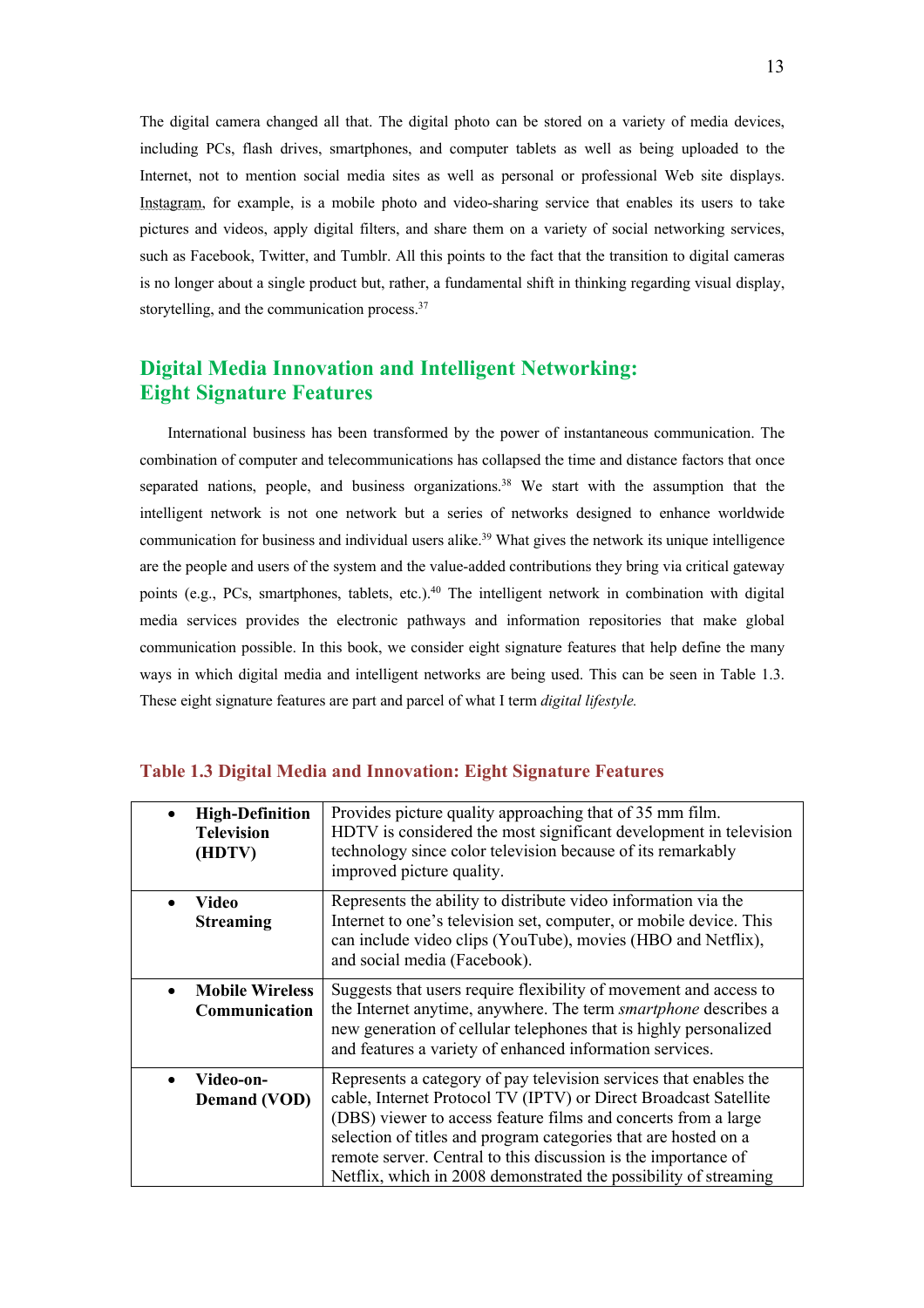The digital camera changed all that. The digital photo can be stored on a variety of media devices, including PCs, flash drives, smartphones, and computer tablets as well as being uploaded to the Internet, not to mention social media sites as well as personal or professional Web site displays. Instagram, for example, is a mobile photo and video-sharing service that enables its users to take pictures and videos, apply digital filters, and share them on a variety of social networking services, such as Facebook, Twitter, and Tumblr. All this points to the fact that the transition to digital cameras is no longer about a single product but, rather, a fundamental shift in thinking regarding visual display, storytelling, and the communication process.<sup>37</sup>

## **Digital Media Innovation and Intelligent Networking: Eight Signature Features**

International business has been transformed by the power of instantaneous communication. The combination of computer and telecommunications has collapsed the time and distance factors that once separated nations, people, and business organizations.<sup>38</sup> We start with the assumption that the intelligent network is not one network but a series of networks designed to enhance worldwide communication for business and individual users alike.<sup>39</sup> What gives the network its unique intelligence are the people and users of the system and the value-added contributions they bring via critical gateway points (e.g., PCs, smartphones, tablets, etc.).<sup>40</sup> The intelligent network in combination with digital media services provides the electronic pathways and information repositories that make global communication possible. In this book, we consider eight signature features that help define the many ways in which digital media and intelligent networks are being used. This can be seen in Table 1.3. These eight signature features are part and parcel of what I term *digital lifestyle.*

| <b>High-Definition</b><br><b>Television</b><br>(HDTV) | Provides picture quality approaching that of 35 mm film.<br>HDTV is considered the most significant development in television<br>technology since color television because of its remarkably<br>improved picture quality.                                                                                                                                                                                        |
|-------------------------------------------------------|------------------------------------------------------------------------------------------------------------------------------------------------------------------------------------------------------------------------------------------------------------------------------------------------------------------------------------------------------------------------------------------------------------------|
| <b>Video</b><br><b>Streaming</b>                      | Represents the ability to distribute video information via the<br>Internet to one's television set, computer, or mobile device. This<br>can include video clips (YouTube), movies (HBO and Netflix),<br>and social media (Facebook).                                                                                                                                                                             |
| <b>Mobile Wireless</b><br>Communication               | Suggests that users require flexibility of movement and access to<br>the Internet anytime, anywhere. The term smartphone describes a<br>new generation of cellular telephones that is highly personalized<br>and features a variety of enhanced information services.                                                                                                                                            |
| Video-on-<br>Demand (VOD)                             | Represents a category of pay television services that enables the<br>cable, Internet Protocol TV (IPTV) or Direct Broadcast Satellite<br>(DBS) viewer to access feature films and concerts from a large<br>selection of titles and program categories that are hosted on a<br>remote server. Central to this discussion is the importance of<br>Netflix, which in 2008 demonstrated the possibility of streaming |

#### **Table 1.3 Digital Media and Innovation: Eight Signature Features**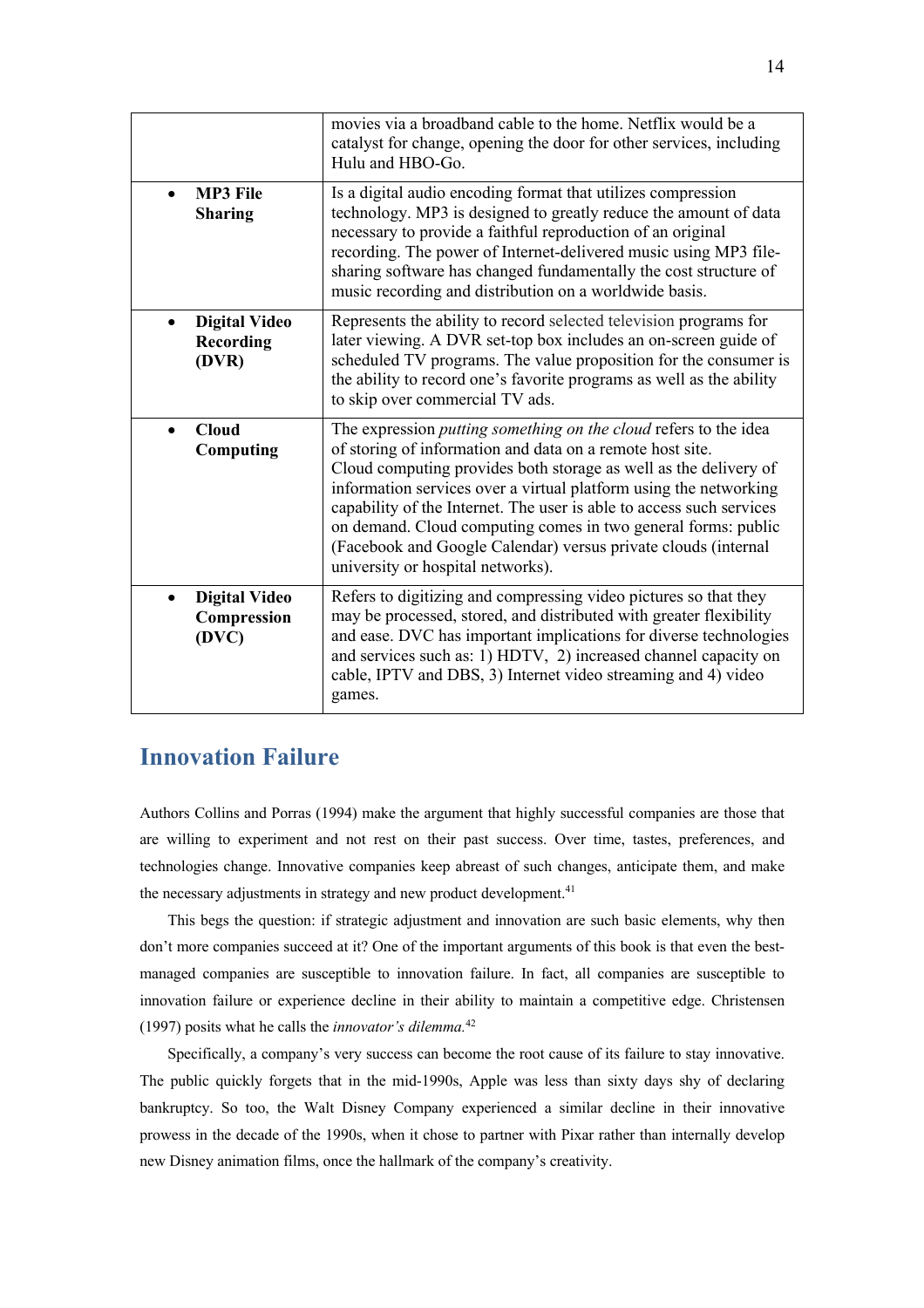|                                                                | movies via a broadband cable to the home. Netflix would be a<br>catalyst for change, opening the door for other services, including<br>Hulu and HBO-Go.                                                                                                                                                                                                                                                                                                                                                                |
|----------------------------------------------------------------|------------------------------------------------------------------------------------------------------------------------------------------------------------------------------------------------------------------------------------------------------------------------------------------------------------------------------------------------------------------------------------------------------------------------------------------------------------------------------------------------------------------------|
| <b>MP3 File</b><br>$\bullet$<br><b>Sharing</b>                 | Is a digital audio encoding format that utilizes compression<br>technology. MP3 is designed to greatly reduce the amount of data<br>necessary to provide a faithful reproduction of an original<br>recording. The power of Internet-delivered music using MP3 file-<br>sharing software has changed fundamentally the cost structure of<br>music recording and distribution on a worldwide basis.                                                                                                                      |
| <b>Digital Video</b><br>$\bullet$<br><b>Recording</b><br>(DVR) | Represents the ability to record selected television programs for<br>later viewing. A DVR set-top box includes an on-screen guide of<br>scheduled TV programs. The value proposition for the consumer is<br>the ability to record one's favorite programs as well as the ability<br>to skip over commercial TV ads.                                                                                                                                                                                                    |
| <b>Cloud</b><br>$\bullet$<br>Computing                         | The expression putting something on the cloud refers to the idea<br>of storing of information and data on a remote host site.<br>Cloud computing provides both storage as well as the delivery of<br>information services over a virtual platform using the networking<br>capability of the Internet. The user is able to access such services<br>on demand. Cloud computing comes in two general forms: public<br>(Facebook and Google Calendar) versus private clouds (internal<br>university or hospital networks). |
| <b>Digital Video</b><br>$\bullet$<br>Compression<br>(DVC)      | Refers to digitizing and compressing video pictures so that they<br>may be processed, stored, and distributed with greater flexibility<br>and ease. DVC has important implications for diverse technologies<br>and services such as: 1) HDTV, 2) increased channel capacity on<br>cable, IPTV and DBS, 3) Internet video streaming and 4) video<br>games.                                                                                                                                                              |

# **Innovation Failure**

Authors Collins and Porras (1994) make the argument that highly successful companies are those that are willing to experiment and not rest on their past success. Over time, tastes, preferences, and technologies change. Innovative companies keep abreast of such changes, anticipate them, and make the necessary adjustments in strategy and new product development.<sup>41</sup>

This begs the question: if strategic adjustment and innovation are such basic elements, why then don't more companies succeed at it? One of the important arguments of this book is that even the bestmanaged companies are susceptible to innovation failure. In fact, all companies are susceptible to innovation failure or experience decline in their ability to maintain a competitive edge. Christensen (1997) posits what he calls the *innovator's dilemma.*<sup>42</sup>

Specifically, a company's very success can become the root cause of its failure to stay innovative. The public quickly forgets that in the mid-1990s, Apple was less than sixty days shy of declaring bankruptcy. So too, the Walt Disney Company experienced a similar decline in their innovative prowess in the decade of the 1990s, when it chose to partner with Pixar rather than internally develop new Disney animation films, once the hallmark of the company's creativity.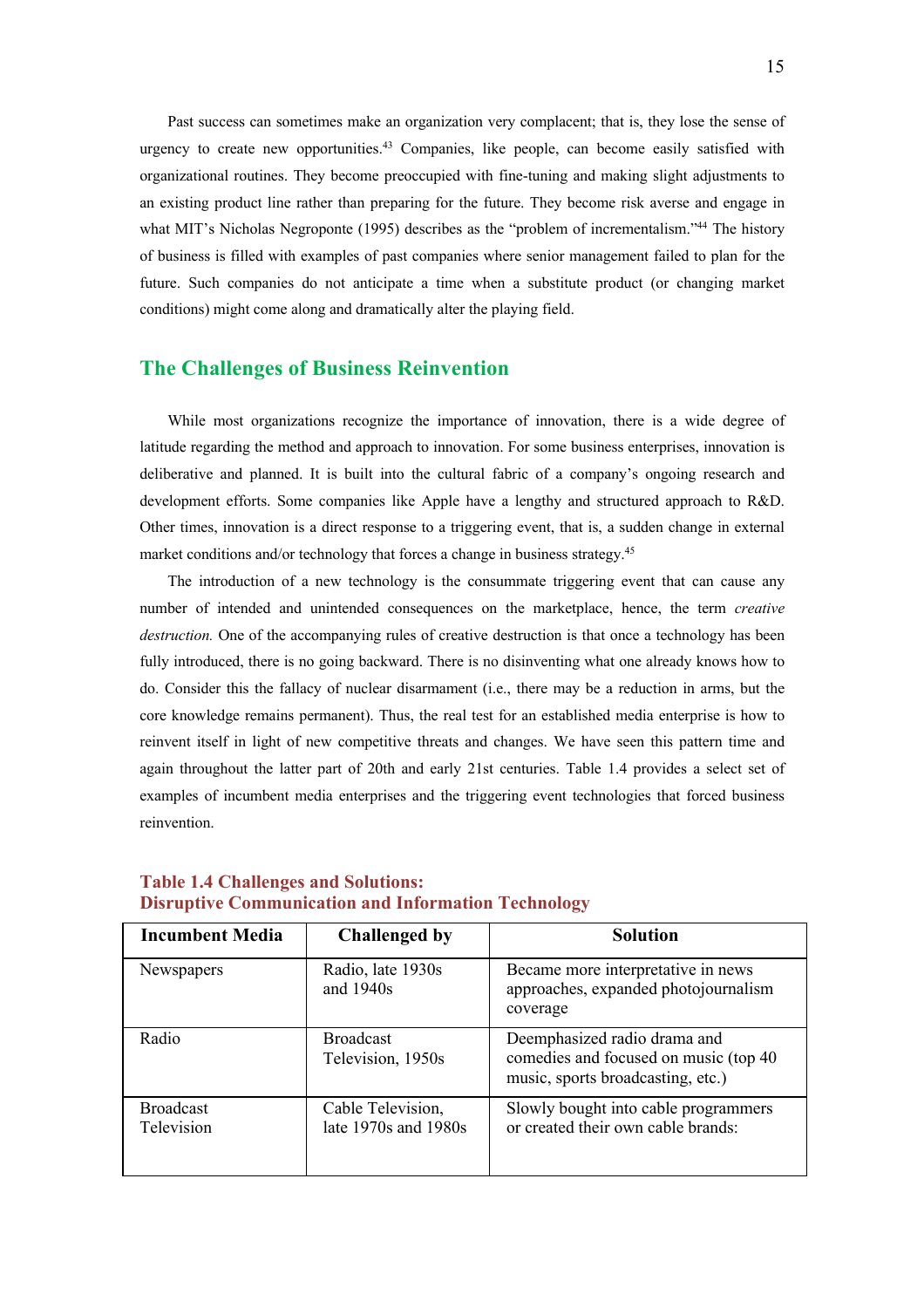Past success can sometimes make an organization very complacent; that is, they lose the sense of urgency to create new opportunities.<sup>43</sup> Companies, like people, can become easily satisfied with organizational routines. They become preoccupied with fine-tuning and making slight adjustments to an existing product line rather than preparing for the future. They become risk averse and engage in what MIT's Nicholas Negroponte (1995) describes as the "problem of incrementalism."<sup>44</sup> The history of business is filled with examples of past companies where senior management failed to plan for the future. Such companies do not anticipate a time when a substitute product (or changing market conditions) might come along and dramatically alter the playing field.

#### **The Challenges of Business Reinvention**

While most organizations recognize the importance of innovation, there is a wide degree of latitude regarding the method and approach to innovation. For some business enterprises, innovation is deliberative and planned. It is built into the cultural fabric of a company's ongoing research and development efforts. Some companies like Apple have a lengthy and structured approach to R&D. Other times, innovation is a direct response to a triggering event, that is, a sudden change in external market conditions and/or technology that forces a change in business strategy.<sup>45</sup>

The introduction of a new technology is the consummate triggering event that can cause any number of intended and unintended consequences on the marketplace, hence, the term *creative destruction.* One of the accompanying rules of creative destruction is that once a technology has been fully introduced, there is no going backward. There is no disinventing what one already knows how to do. Consider this the fallacy of nuclear disarmament (i.e., there may be a reduction in arms, but the core knowledge remains permanent). Thus, the real test for an established media enterprise is how to reinvent itself in light of new competitive threats and changes. We have seen this pattern time and again throughout the latter part of 20th and early 21st centuries. Table 1.4 provides a select set of examples of incumbent media enterprises and the triggering event technologies that forced business reinvention.

| <b>Incumbent Media</b>         | Challenged by                                 | <b>Solution</b>                                                                                             |
|--------------------------------|-----------------------------------------------|-------------------------------------------------------------------------------------------------------------|
| Newspapers                     | Radio, late 1930s<br>and $1940s$              | Became more interpretative in news<br>approaches, expanded photojournalism<br>coverage                      |
| Radio                          | <b>Broadcast</b><br>Television, 1950s         | Deemphasized radio drama and<br>comedies and focused on music (top 40)<br>music, sports broadcasting, etc.) |
| <b>Broadcast</b><br>Television | Cable Television,<br>late $1970s$ and $1980s$ | Slowly bought into cable programmers<br>or created their own cable brands:                                  |

#### **Table 1.4 Challenges and Solutions: Disruptive Communication and Information Technology**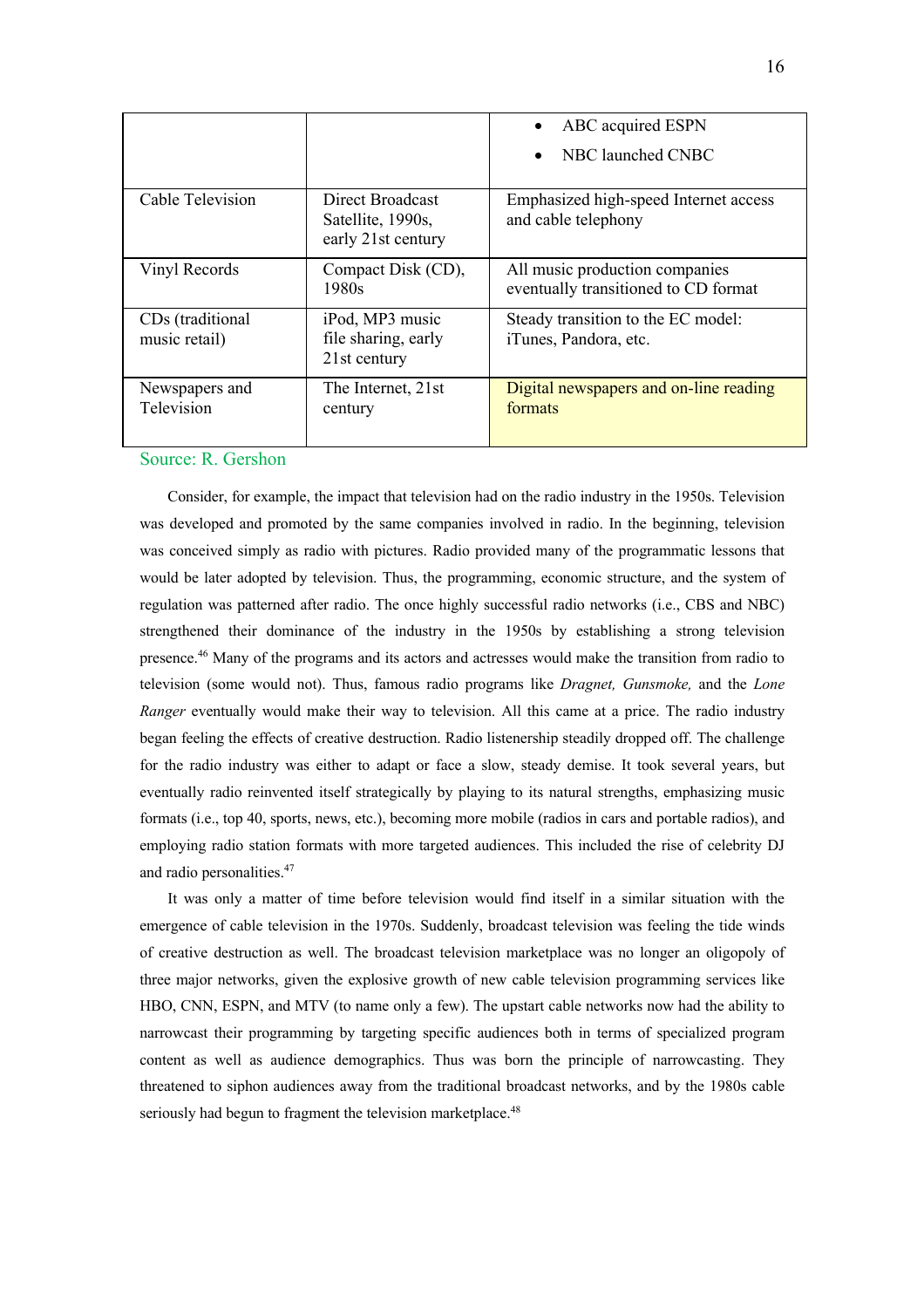|                                   |                                                             | ABC acquired ESPN                                                      |
|-----------------------------------|-------------------------------------------------------------|------------------------------------------------------------------------|
|                                   |                                                             | NBC launched CNBC<br>$\bullet$                                         |
| Cable Television                  | Direct Broadcast<br>Satellite, 1990s,<br>early 21st century | Emphasized high-speed Internet access<br>and cable telephony           |
| Vinyl Records                     | Compact Disk (CD),<br>1980s                                 | All music production companies<br>eventually transitioned to CD format |
| CDs (traditional<br>music retail) | iPod, MP3 music<br>file sharing, early<br>21st century      | Steady transition to the EC model:<br>iTunes, Pandora, etc.            |
| Newspapers and<br>Television      | The Internet, 21st<br>century                               | Digital newspapers and on-line reading<br>formats                      |

#### Source: R. Gershon

Consider, for example, the impact that television had on the radio industry in the 1950s. Television was developed and promoted by the same companies involved in radio. In the beginning, television was conceived simply as radio with pictures. Radio provided many of the programmatic lessons that would be later adopted by television. Thus, the programming, economic structure, and the system of regulation was patterned after radio. The once highly successful radio networks (i.e., CBS and NBC) strengthened their dominance of the industry in the 1950s by establishing a strong television presence.46 Many of the programs and its actors and actresses would make the transition from radio to television (some would not). Thus, famous radio programs like *Dragnet, Gunsmoke,* and the *Lone Ranger* eventually would make their way to television. All this came at a price. The radio industry began feeling the effects of creative destruction. Radio listenership steadily dropped off. The challenge for the radio industry was either to adapt or face a slow, steady demise. It took several years, but eventually radio reinvented itself strategically by playing to its natural strengths, emphasizing music formats (i.e., top 40, sports, news, etc.), becoming more mobile (radios in cars and portable radios), and employing radio station formats with more targeted audiences. This included the rise of celebrity DJ and radio personalities. 47

It was only a matter of time before television would find itself in a similar situation with the emergence of cable television in the 1970s. Suddenly, broadcast television was feeling the tide winds of creative destruction as well. The broadcast television marketplace was no longer an oligopoly of three major networks, given the explosive growth of new cable television programming services like HBO, CNN, ESPN, and MTV (to name only a few). The upstart cable networks now had the ability to narrowcast their programming by targeting specific audiences both in terms of specialized program content as well as audience demographics. Thus was born the principle of narrowcasting. They threatened to siphon audiences away from the traditional broadcast networks, and by the 1980s cable seriously had begun to fragment the television marketplace.<sup>48</sup>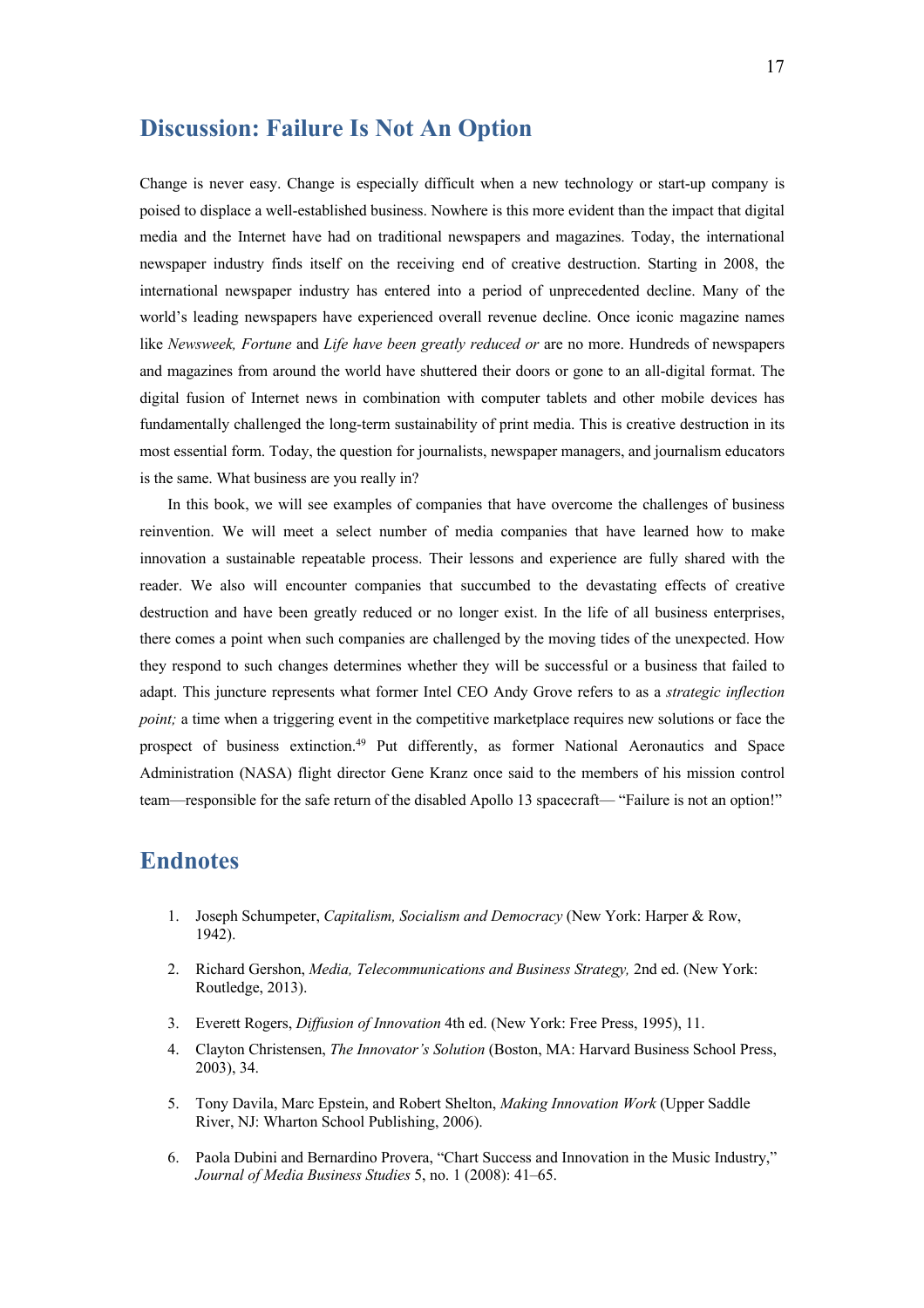## **Discussion: Failure Is Not An Option**

Change is never easy. Change is especially difficult when a new technology or start-up company is poised to displace a well-established business. Nowhere is this more evident than the impact that digital media and the Internet have had on traditional newspapers and magazines. Today, the international newspaper industry finds itself on the receiving end of creative destruction. Starting in 2008, the international newspaper industry has entered into a period of unprecedented decline. Many of the world's leading newspapers have experienced overall revenue decline. Once iconic magazine names like *Newsweek, Fortune* and *Life have been greatly reduced or* are no more. Hundreds of newspapers and magazines from around the world have shuttered their doors or gone to an all-digital format. The digital fusion of Internet news in combination with computer tablets and other mobile devices has fundamentally challenged the long-term sustainability of print media. This is creative destruction in its most essential form. Today, the question for journalists, newspaper managers, and journalism educators is the same. What business are you really in?

In this book, we will see examples of companies that have overcome the challenges of business reinvention. We will meet a select number of media companies that have learned how to make innovation a sustainable repeatable process. Their lessons and experience are fully shared with the reader. We also will encounter companies that succumbed to the devastating effects of creative destruction and have been greatly reduced or no longer exist. In the life of all business enterprises, there comes a point when such companies are challenged by the moving tides of the unexpected. How they respond to such changes determines whether they will be successful or a business that failed to adapt. This juncture represents what former Intel CEO Andy Grove refers to as a *strategic inflection point*; a time when a triggering event in the competitive marketplace requires new solutions or face the prospect of business extinction.49 Put differently, as former National Aeronautics and Space Administration (NASA) flight director Gene Kranz once said to the members of his mission control team—responsible for the safe return of the disabled Apollo 13 spacecraft— "Failure is not an option!"

## **Endnotes**

- 1. Joseph Schumpeter, *Capitalism, Socialism and Democracy* (New York: Harper & Row, 1942).
- 2. Richard Gershon, *Media, Telecommunications and Business Strategy,* 2nd ed. (New York: Routledge, 2013).
- 3. Everett Rogers, *Diffusion of Innovation* 4th ed. (New York: Free Press, 1995), 11.
- 4. Clayton Christensen, *The Innovator's Solution* (Boston, MA: Harvard Business School Press, 2003), 34.
- 5. Tony Davila, Marc Epstein, and Robert Shelton, *Making Innovation Work* (Upper Saddle River, NJ: Wharton School Publishing, 2006).
- 6. Paola Dubini and Bernardino Provera, "Chart Success and Innovation in the Music Industry," *Journal of Media Business Studies* 5, no. 1 (2008): 41–65.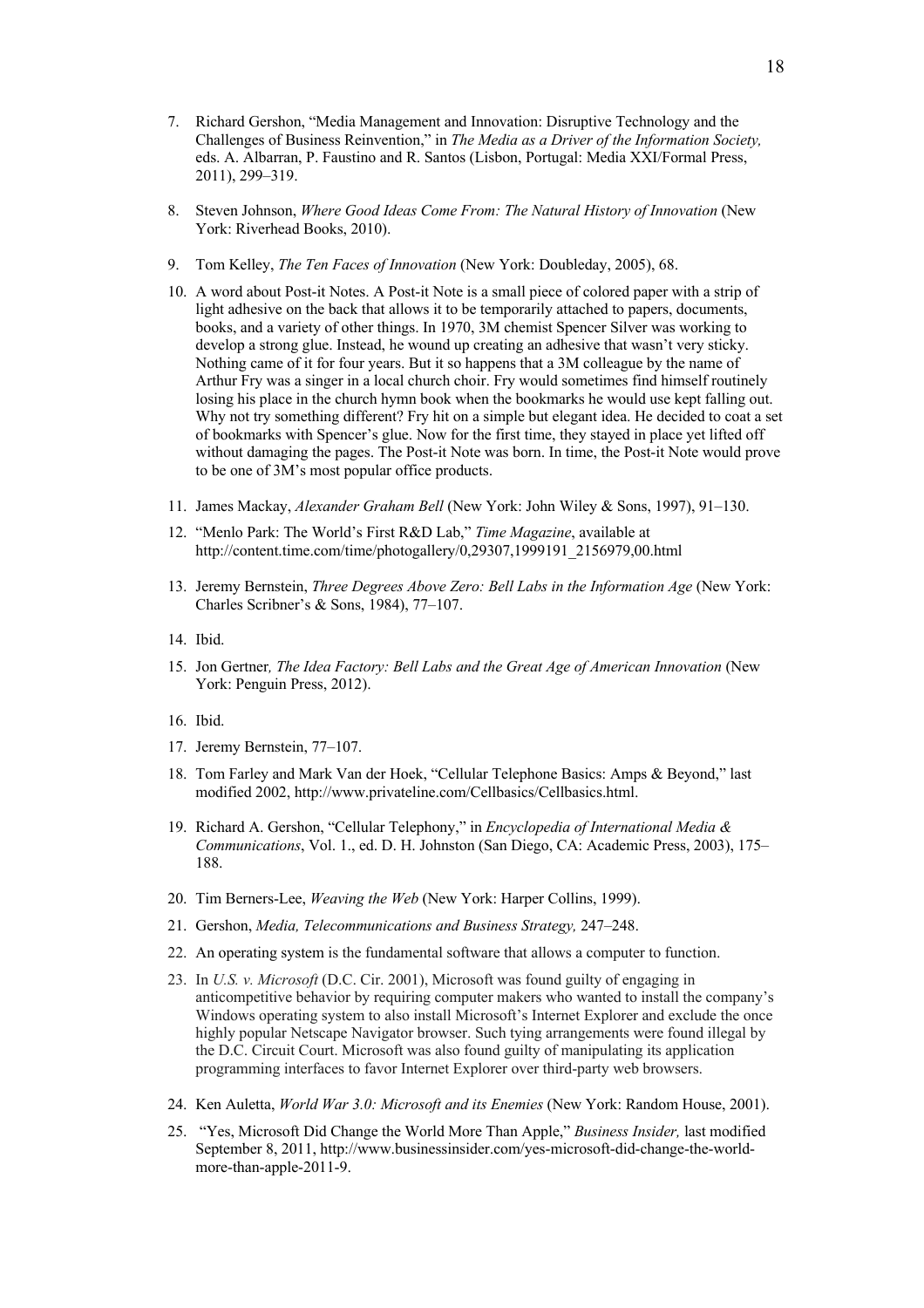- 7. Richard Gershon, "Media Management and Innovation: Disruptive Technology and the Challenges of Business Reinvention," in *The Media as a Driver of the Information Society,*  eds. A. Albarran, P. Faustino and R. Santos (Lisbon, Portugal: Media XXI/Formal Press, 2011), 299–319.
- 8. Steven Johnson, *Where Good Ideas Come From: The Natural History of Innovation* (New York: Riverhead Books, 2010).
- 9. Tom Kelley, *The Ten Faces of Innovation* (New York: Doubleday, 2005), 68.
- 10. A word about Post-it Notes. A Post-it Note is a small piece of colored paper with a strip of light adhesive on the back that allows it to be temporarily attached to papers, documents, books, and a variety of other things. In 1970, 3M chemist Spencer Silver was working to develop a strong glue. Instead, he wound up creating an adhesive that wasn't very sticky. Nothing came of it for four years. But it so happens that a 3M colleague by the name of Arthur Fry was a singer in a local church choir. Fry would sometimes find himself routinely losing his place in the church hymn book when the bookmarks he would use kept falling out. Why not try something different? Fry hit on a simple but elegant idea. He decided to coat a set of bookmarks with Spencer's glue. Now for the first time, they stayed in place yet lifted off without damaging the pages. The Post-it Note was born. In time, the Post-it Note would prove to be one of 3M's most popular office products.
- 11. James Mackay, *Alexander Graham Bell* (New York: John Wiley & Sons, 1997), 91–130.
- 12. "Menlo Park: The World's First R&D Lab," *Time Magazine*, available at http://content.time.com/time/photogallery/0,29307,1999191\_2156979,00.html
- 13. Jeremy Bernstein, *Three Degrees Above Zero: Bell Labs in the Information Age* (New York: Charles Scribner's & Sons, 1984), 77–107.
- 14. Ibid.
- 15. Jon Gertner*, The Idea Factory: Bell Labs and the Great Age of American Innovation* (New York: Penguin Press, 2012).

16. Ibid.

- 17. Jeremy Bernstein, 77–107.
- 18. Tom Farley and Mark Van der Hoek, "Cellular Telephone Basics: Amps & Beyond," last modified 2002, http://www.privateline.com/Cellbasics/Cellbasics.html.
- 19. Richard A. Gershon, "Cellular Telephony," in *Encyclopedia of International Media & Communications*, Vol. 1., ed. D. H. Johnston (San Diego, CA: Academic Press, 2003), 175– 188.
- 20. Tim Berners-Lee, *Weaving the Web* (New York: Harper Collins, 1999).
- 21. Gershon, *Media, Telecommunications and Business Strategy,* 247–248.
- 22. An operating system is the fundamental software that allows a computer to function.
- 23. In *U.S. v. Microsoft* (D.C. Cir. 2001), Microsoft was found guilty of engaging in anticompetitive behavior by requiring computer makers who wanted to install the company's Windows operating system to also install Microsoft's Internet Explorer and exclude the once highly popular Netscape Navigator browser. Such tying arrangements were found illegal by the D.C. Circuit Court. Microsoft was also found guilty of manipulating its application programming interfaces to favor Internet Explorer over third-party web browsers.
- 24. Ken Auletta, *World War 3.0: Microsoft and its Enemies* (New York: Random House, 2001).
- 25. "Yes, Microsoft Did Change the World More Than Apple," *Business Insider,* last modified September 8, 2011, http://www.businessinsider.com/yes-microsoft-did-change-the-worldmore-than-apple-2011-9.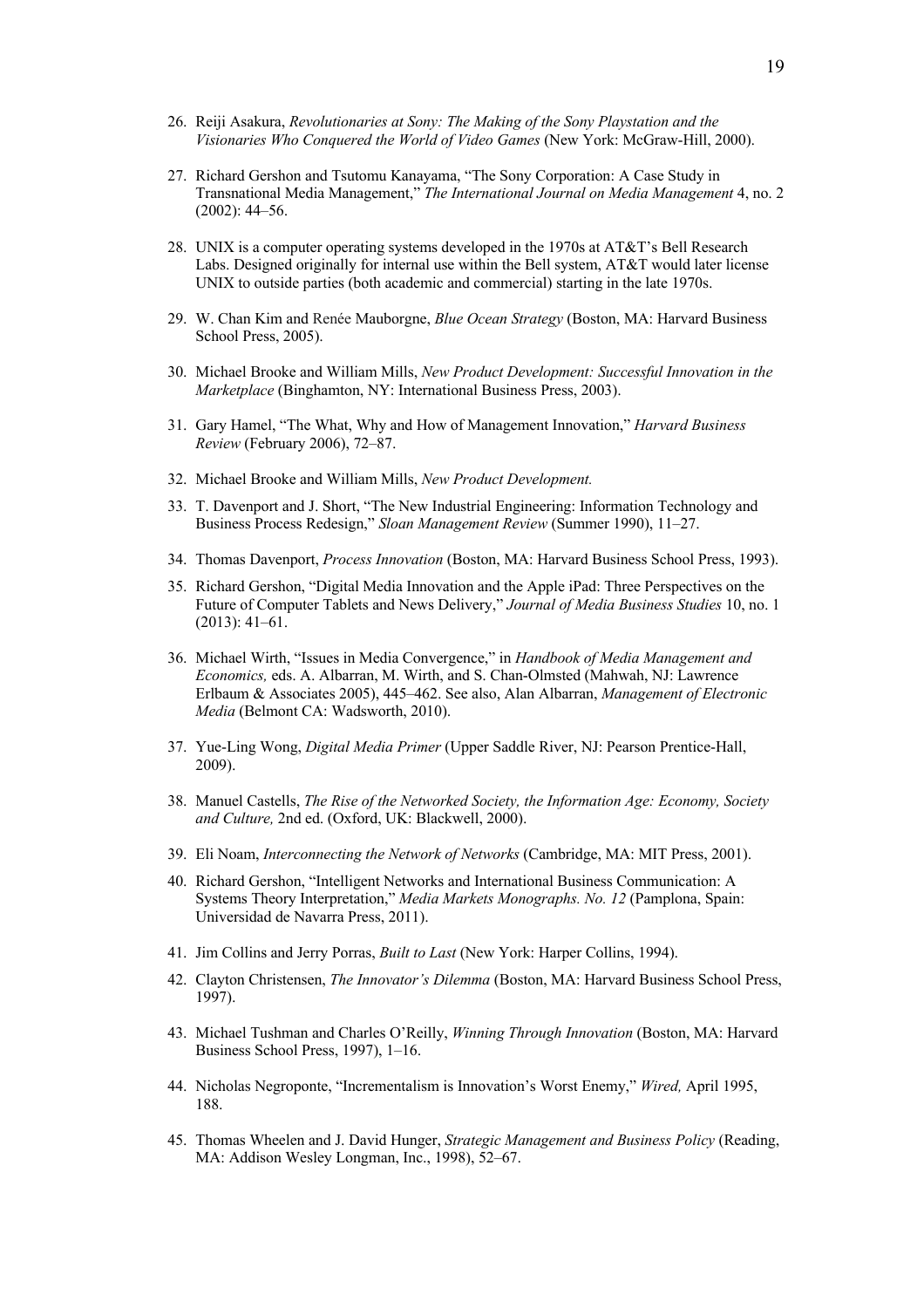- 26. Reiji Asakura, *Revolutionaries at Sony: The Making of the Sony Playstation and the Visionaries Who Conquered the World of Video Games* (New York: McGraw-Hill, 2000).
- 27. Richard Gershon and Tsutomu Kanayama, "The Sony Corporation: A Case Study in Transnational Media Management," *The International Journal on Media Management* 4, no. 2 (2002): 44–56.
- 28. UNIX is a computer operating systems developed in the 1970s at AT&T's Bell Research Labs. Designed originally for internal use within the Bell system, AT&T would later license UNIX to outside parties (both academic and commercial) starting in the late 1970s.
- 29. W. Chan Kim and Renée Mauborgne, *Blue Ocean Strategy* (Boston, MA: Harvard Business School Press, 2005).
- 30. Michael Brooke and William Mills, *New Product Development: Successful Innovation in the Marketplace* (Binghamton, NY: International Business Press, 2003).
- 31. Gary Hamel, "The What, Why and How of Management Innovation," *Harvard Business Review* (February 2006), 72–87.
- 32. Michael Brooke and William Mills, *New Product Development.*
- 33. T. Davenport and J. Short, "The New Industrial Engineering: Information Technology and Business Process Redesign," *Sloan Management Review* (Summer 1990), 11–27.
- 34. Thomas Davenport, *Process Innovation* (Boston, MA: Harvard Business School Press, 1993).
- 35. Richard Gershon, "Digital Media Innovation and the Apple iPad: Three Perspectives on the Future of Computer Tablets and News Delivery," *Journal of Media Business Studies* 10, no. 1 (2013): 41–61.
- 36. Michael Wirth, "Issues in Media Convergence," in *Handbook of Media Management and Economics,* eds. A. Albarran, M. Wirth, and S. Chan-Olmsted (Mahwah, NJ: Lawrence Erlbaum & Associates 2005), 445–462. See also, Alan Albarran, *Management of Electronic Media* (Belmont CA: Wadsworth, 2010).
- 37. Yue-Ling Wong, *Digital Media Primer* (Upper Saddle River, NJ: Pearson Prentice-Hall, 2009).
- 38. Manuel Castells, *The Rise of the Networked Society, the Information Age: Economy, Society and Culture,* 2nd ed. (Oxford, UK: Blackwell, 2000).
- 39. Eli Noam, *Interconnecting the Network of Networks* (Cambridge, MA: MIT Press, 2001).
- 40. Richard Gershon, "Intelligent Networks and International Business Communication: A Systems Theory Interpretation," *Media Markets Monographs. No. 12* (Pamplona, Spain: Universidad de Navarra Press, 2011).
- 41. Jim Collins and Jerry Porras, *Built to Last* (New York: Harper Collins, 1994).
- 42. Clayton Christensen, *The Innovator's Dilemma* (Boston, MA: Harvard Business School Press, 1997).
- 43. Michael Tushman and Charles O'Reilly, *Winning Through Innovation* (Boston, MA: Harvard Business School Press, 1997), 1–16.
- 44. Nicholas Negroponte, "Incrementalism is Innovation's Worst Enemy," *Wired,* April 1995, 188.
- 45. Thomas Wheelen and J. David Hunger, *Strategic Management and Business Policy* (Reading, MA: Addison Wesley Longman, Inc., 1998), 52–67.